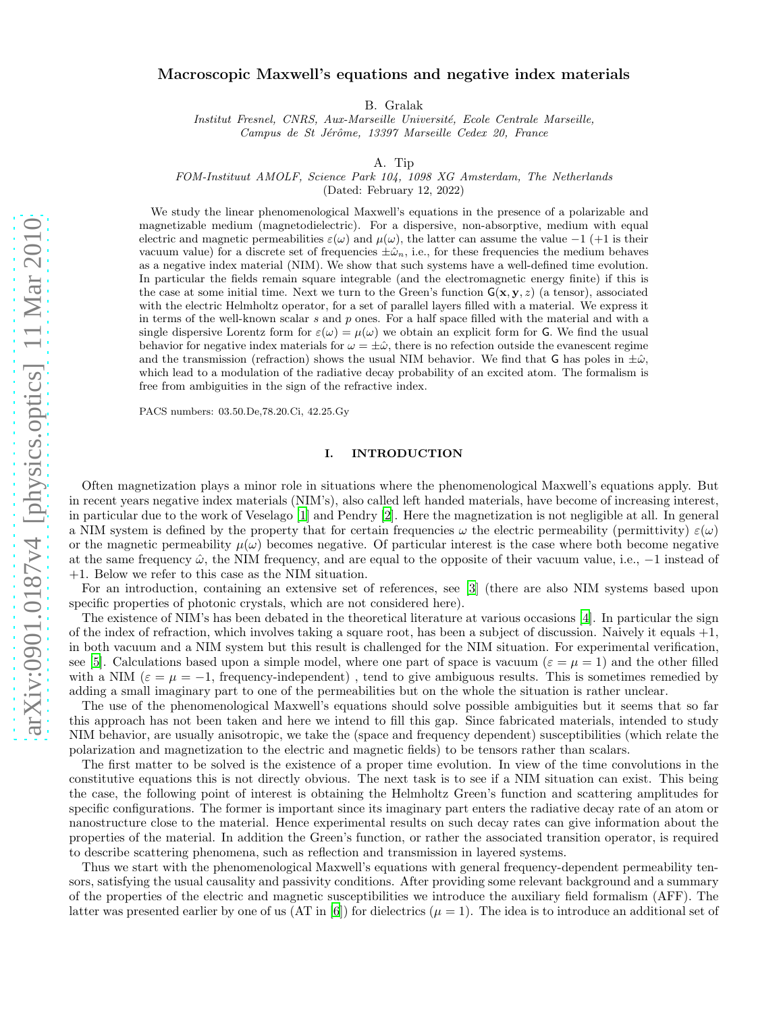# Macroscopic Maxwell's equations and negative index materials

B. Gralak

Institut Fresnel, CNRS, Aux-Marseille Université, Ecole Centrale Marseille, Campus de St Jérôme, 13397 Marseille Cedex 20, France

A. Tip

FOM-Instituut AMOLF, Science Park 104, 1098 XG Amsterdam, The Netherlands

(Dated: February 12, 2022)

We study the linear phenomenological Maxwell's equations in the presence of a polarizable and magnetizable medium (magnetodielectric). For a dispersive, non-absorptive, medium with equal electric and magnetic permeabilities  $\varepsilon(\omega)$  and  $\mu(\omega)$ , the latter can assume the value -1 (+1 is their vacuum value) for a discrete set of frequencies  $\pm \hat{\omega}_n$ , i.e., for these frequencies the medium behaves as a negative index material (NIM). We show that such systems have a well-defined time evolution. In particular the fields remain square integrable (and the electromagnetic energy finite) if this is the case at some initial time. Next we turn to the Green's function  $G(x, y, z)$  (a tensor), associated with the electric Helmholtz operator, for a set of parallel layers filled with a material. We express it in terms of the well-known scalar s and  $p$  ones. For a half space filled with the material and with a single dispersive Lorentz form for  $\varepsilon(\omega) = \mu(\omega)$  we obtain an explicit form for G. We find the usual behavior for negative index materials for  $\omega = \pm \hat{\omega}$ , there is no refection outside the evanescent regime and the transmission (refraction) shows the usual NIM behavior. We find that G has poles in  $\pm\hat{\omega}$ , which lead to a modulation of the radiative decay probability of an excited atom. The formalism is free from ambiguities in the sign of the refractive index.

PACS numbers: 03.50.De,78.20.Ci, 42.25.Gy

# I. INTRODUCTION

Often magnetization plays a minor role in situations where the phenomenological Maxwell's equations apply. But in recent years negative index materials (NIM's), also called left handed materials, have become of increasing interest, in particular due to the work of Veselago [\[1\]](#page-21-0) and Pendry [\[2\]](#page-21-1). Here the magnetization is not negligible at all. In general a NIM system is defined by the property that for certain frequencies  $\omega$  the electric permeability (permittivity)  $\varepsilon(\omega)$ or the magnetic permeability  $\mu(\omega)$  becomes negative. Of particular interest is the case where both become negative at the same frequency  $\hat{\omega}$ , the NIM frequency, and are equal to the opposite of their vacuum value, i.e.,  $-1$  instead of +1. Below we refer to this case as the NIM situation.

For an introduction, containing an extensive set of references, see [\[3\]](#page-21-2) (there are also NIM systems based upon specific properties of photonic crystals, which are not considered here).

The existence of NIM's has been debated in the theoretical literature at various occasions [\[4\]](#page-21-3). In particular the sign of the index of refraction, which involves taking a square root, has been a subject of discussion. Naively it equals +1, in both vacuum and a NIM system but this result is challenged for the NIM situation. For experimental verification, see [\[5\]](#page-21-4). Calculations based upon a simple model, where one part of space is vacuum ( $\varepsilon = \mu = 1$ ) and the other filled with a NIM ( $\varepsilon = \mu = -1$ , frequency-independent), tend to give ambiguous results. This is sometimes remedied by adding a small imaginary part to one of the permeabilities but on the whole the situation is rather unclear.

The use of the phenomenological Maxwell's equations should solve possible ambiguities but it seems that so far this approach has not been taken and here we intend to fill this gap. Since fabricated materials, intended to study NIM behavior, are usually anisotropic, we take the (space and frequency dependent) susceptibilities (which relate the polarization and magnetization to the electric and magnetic fields) to be tensors rather than scalars.

The first matter to be solved is the existence of a proper time evolution. In view of the time convolutions in the constitutive equations this is not directly obvious. The next task is to see if a NIM situation can exist. This being the case, the following point of interest is obtaining the Helmholtz Green's function and scattering amplitudes for specific configurations. The former is important since its imaginary part enters the radiative decay rate of an atom or nanostructure close to the material. Hence experimental results on such decay rates can give information about the properties of the material. In addition the Green's function, or rather the associated transition operator, is required to describe scattering phenomena, such as reflection and transmission in layered systems.

Thus we start with the phenomenological Maxwell's equations with general frequency-dependent permeability tensors, satisfying the usual causality and passivity conditions. After providing some relevant background and a summary of the properties of the electric and magnetic susceptibilities we introduce the auxiliary field formalism (AFF). The latter was presented earlier by one of us  $(AT \text{ in } [6])$  $(AT \text{ in } [6])$  $(AT \text{ in } [6])$  for dielectrics  $(\mu = 1)$ . The idea is to introduce an additional set of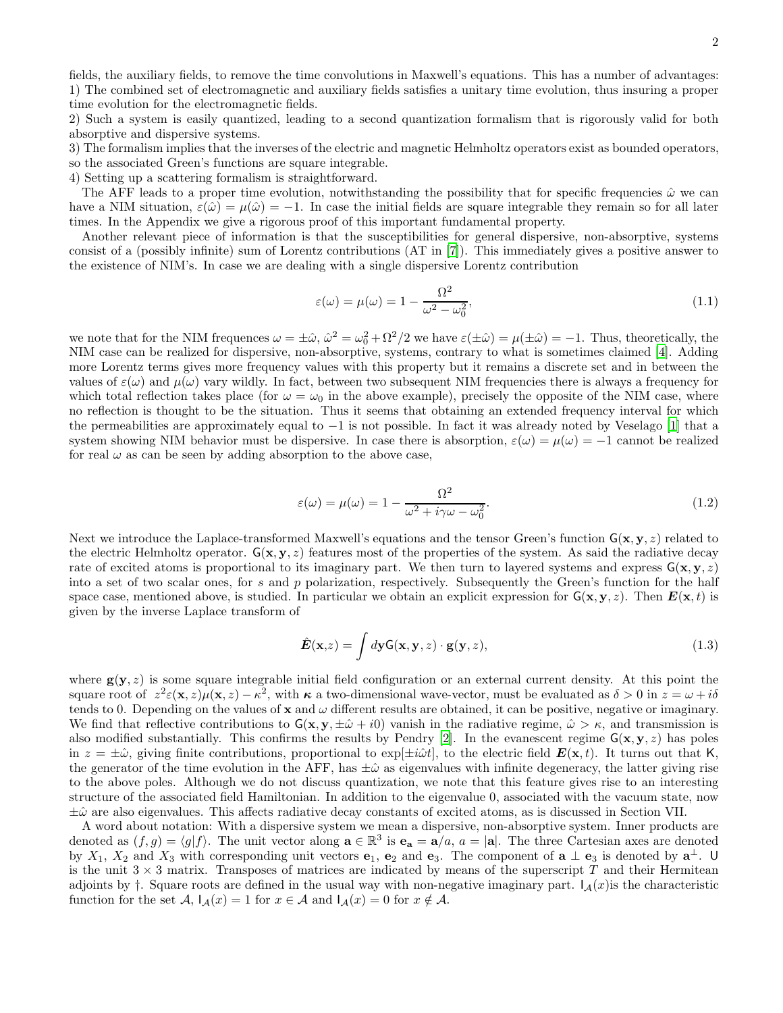fields, the auxiliary fields, to remove the time convolutions in Maxwell's equations. This has a number of advantages: 1) The combined set of electromagnetic and auxiliary fields satisfies a unitary time evolution, thus insuring a proper time evolution for the electromagnetic fields.

2) Such a system is easily quantized, leading to a second quantization formalism that is rigorously valid for both absorptive and dispersive systems.

3) The formalism implies that the inverses of the electric and magnetic Helmholtz operators exist as bounded operators, so the associated Green's functions are square integrable.

4) Setting up a scattering formalism is straightforward.

The AFF leads to a proper time evolution, notwithstanding the possibility that for specific frequencies  $\hat{\omega}$  we can have a NIM situation,  $\varepsilon(\hat{\omega}) = \mu(\hat{\omega}) = -1$ . In case the initial fields are square integrable they remain so for all later times. In the Appendix we give a rigorous proof of this important fundamental property.

Another relevant piece of information is that the susceptibilities for general dispersive, non-absorptive, systems consist of a (possibly infinite) sum of Lorentz contributions (AT in [\[7\]](#page-21-6)). This immediately gives a positive answer to the existence of NIM's. In case we are dealing with a single dispersive Lorentz contribution

$$
\varepsilon(\omega) = \mu(\omega) = 1 - \frac{\Omega^2}{\omega^2 - \omega_0^2},\tag{1.1}
$$

we note that for the NIM frequences  $\omega = \pm \hat{\omega}$ ,  $\hat{\omega}^2 = \omega_0^2 + \Omega^2/2$  we have  $\varepsilon(\pm \hat{\omega}) = \mu(\pm \hat{\omega}) = -1$ . Thus, theoretically, the NIM case can be realized for dispersive, non-absorptive, systems, contrary to what is sometimes claimed [\[4](#page-21-3)]. Adding more Lorentz terms gives more frequency values with this property but it remains a discrete set and in between the values of  $\varepsilon(\omega)$  and  $\mu(\omega)$  vary wildly. In fact, between two subsequent NIM frequencies there is always a frequency for which total reflection takes place (for  $\omega = \omega_0$  in the above example), precisely the opposite of the NIM case, where no reflection is thought to be the situation. Thus it seems that obtaining an extended frequency interval for which the permeabilities are approximately equal to −1 is not possible. In fact it was already noted by Veselago [\[1](#page-21-0)] that a system showing NIM behavior must be dispersive. In case there is absorption,  $\varepsilon(\omega) = \mu(\omega) = -1$  cannot be realized for real  $\omega$  as can be seen by adding absorption to the above case,

$$
\varepsilon(\omega) = \mu(\omega) = 1 - \frac{\Omega^2}{\omega^2 + i\gamma\omega - \omega_0^2}.
$$
\n(1.2)

Next we introduce the Laplace-transformed Maxwell's equations and the tensor Green's function  $G(x, y, z)$  related to the electric Helmholtz operator.  $G(x, y, z)$  features most of the properties of the system. As said the radiative decay rate of excited atoms is proportional to its imaginary part. We then turn to layered systems and express  $G(x, y, z)$ into a set of two scalar ones, for s and p polarization, respectively. Subsequently the Green's function for the half space case, mentioned above, is studied. In particular we obtain an explicit expression for  $G(x, y, z)$ . Then  $E(x, t)$  is given by the inverse Laplace transform of

$$
\hat{E}(\mathbf{x},z) = \int d\mathbf{y} \mathsf{G}(\mathbf{x},\mathbf{y},z) \cdot \mathbf{g}(\mathbf{y},z), \qquad (1.3)
$$

where  $g(y, z)$  is some square integrable initial field configuration or an external current density. At this point the square root of  $z^2 \varepsilon(\mathbf{x}, z) \mu(\mathbf{x}, z) - \kappa^2$ , with  $\kappa$  a two-dimensional wave-vector, must be evaluated as  $\delta > 0$  in  $z = \omega + i\delta$ tends to 0. Depending on the values of  $x$  and  $\omega$  different results are obtained, it can be positive, negative or imaginary. We find that reflective contributions to  $G(x, y, \pm \hat{\omega} + i0)$  vanish in the radiative regime,  $\hat{\omega} > \kappa$ , and transmission is also modified substantially. This confirms the results by Pendry [\[2](#page-21-1)]. In the evanescent regime  $G(x, y, z)$  has poles in  $z = \pm \hat{\omega}$ , giving finite contributions, proportional to exp[ $\pm i\hat{\omega}t$ ], to the electric field  $E(\mathbf{x}, t)$ . It turns out that K, the generator of the time evolution in the AFF, has  $\pm\hat{\omega}$  as eigenvalues with infinite degeneracy, the latter giving rise to the above poles. Although we do not discuss quantization, we note that this feature gives rise to an interesting structure of the associated field Hamiltonian. In addition to the eigenvalue 0, associated with the vacuum state, now  $\pm\hat{\omega}$  are also eigenvalues. This affects radiative decay constants of excited atoms, as is discussed in Section VII.

A word about notation: With a dispersive system we mean a dispersive, non-absorptive system. Inner products are denoted as  $(f, g) = \langle g | f \rangle$ . The unit vector along  $\mathbf{a} \in \mathbb{R}^3$  is  $\mathbf{e}_\mathbf{a} = \mathbf{a}/a$ ,  $a = |\mathbf{a}|$ . The three Cartesian axes are denoted by  $X_1$ ,  $X_2$  and  $X_3$  with corresponding unit vectors  $e_1$ ,  $e_2$  and  $e_3$ . The component of  $\mathbf{a} \perp \mathbf{e}_3$  is denoted by  $\mathbf{a}^{\perp}$ . U is the unit  $3 \times 3$  matrix. Transposes of matrices are indicated by means of the superscript T and their Hermitean adjoints by  $\dagger$ . Square roots are defined in the usual way with non-negative imaginary part.  $I_A(x)$  is the characteristic function for the set  $\mathcal{A}$ ,  $I_{\mathcal{A}}(x) = 1$  for  $x \in \mathcal{A}$  and  $I_{\mathcal{A}}(x) = 0$  for  $x \notin \mathcal{A}$ .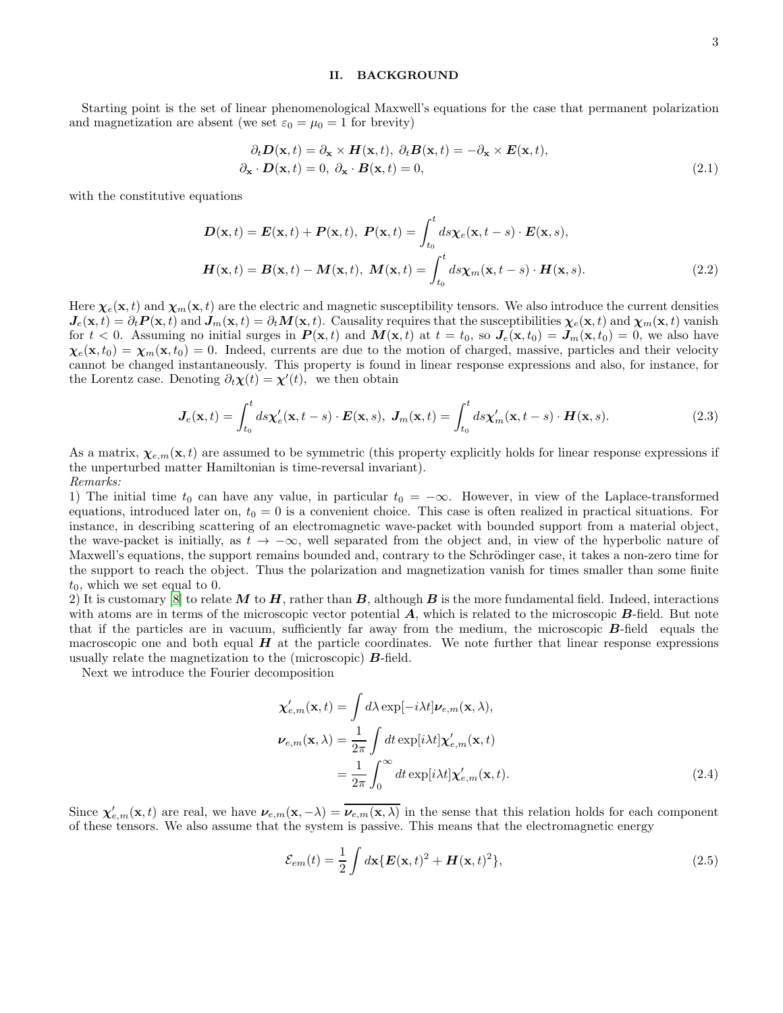#### II. BACKGROUND

Starting point is the set of linear phenomenological Maxwell's equations for the case that permanent polarization and magnetization are absent (we set  $\varepsilon_0 = \mu_0 = 1$  for brevity)

$$
\partial_t \mathbf{D}(\mathbf{x}, t) = \partial_{\mathbf{x}} \times \mathbf{H}(\mathbf{x}, t), \ \partial_t \mathbf{B}(\mathbf{x}, t) = -\partial_{\mathbf{x}} \times \mathbf{E}(\mathbf{x}, t), \n\partial_{\mathbf{x}} \cdot \mathbf{D}(\mathbf{x}, t) = 0, \ \partial_{\mathbf{x}} \cdot \mathbf{B}(\mathbf{x}, t) = 0,
$$
\n(2.1)

with the constitutive equations

$$
\mathbf{D}(\mathbf{x},t) = \mathbf{E}(\mathbf{x},t) + \mathbf{P}(\mathbf{x},t), \ \mathbf{P}(\mathbf{x},t) = \int_{t_0}^t ds \chi_e(\mathbf{x},t-s) \cdot \mathbf{E}(\mathbf{x},s),
$$

$$
\mathbf{H}(\mathbf{x},t) = \mathbf{B}(\mathbf{x},t) - \mathbf{M}(\mathbf{x},t), \ \mathbf{M}(\mathbf{x},t) = \int_{t_0}^t ds \chi_m(\mathbf{x},t-s) \cdot \mathbf{H}(\mathbf{x},s).
$$
(2.2)

Here  $\chi_e(\mathbf{x}, t)$  and  $\chi_m(\mathbf{x}, t)$  are the electric and magnetic susceptibility tensors. We also introduce the current densities  $J_e(\mathbf{x}, t) = \partial_t \mathbf{P}(\mathbf{x}, t)$  and  $\mathbf{J}_m(\mathbf{x}, t) = \partial_t \mathbf{M}(\mathbf{x}, t)$ . Causality requires that the susceptibilities  $\chi_e(\mathbf{x}, t)$  and  $\chi_m(\mathbf{x}, t)$  vanish for  $t < 0$ . Assuming no initial surges in  $P(\mathbf{x}, t)$  and  $M(\mathbf{x}, t)$  at  $t = t_0$ , so  $J_e(\mathbf{x}, t_0) = J_m(\mathbf{x}, t_0) = 0$ , we also have  $\chi_e(\mathbf{x}, t_0) = \chi_m(\mathbf{x}, t_0) = 0$ . Indeed, currents are due to the motion of charged, massive, particles and their velocity cannot be changed instantaneously. This property is found in linear response expressions and also, for instance, for the Lorentz case. Denoting  $\partial_t \chi(t) = \chi'(t)$ , we then obtain

$$
\mathbf{J}_e(\mathbf{x},t) = \int_{t_0}^t ds \mathbf{x}'_e(\mathbf{x},t-s) \cdot \mathbf{E}(\mathbf{x},s), \ \mathbf{J}_m(\mathbf{x},t) = \int_{t_0}^t ds \mathbf{x}'_m(\mathbf{x},t-s) \cdot \mathbf{H}(\mathbf{x},s).
$$
 (2.3)

As a matrix,  $\chi_{e,m}(\mathbf{x},t)$  are assumed to be symmetric (this property explicitly holds for linear response expressions if the unperturbed matter Hamiltonian is time-reversal invariant). Remarks:

1) The initial time  $t_0$  can have any value, in particular  $t_0 = -\infty$ . However, in view of the Laplace-transformed equations, introduced later on,  $t_0 = 0$  is a convenient choice. This case is often realized in practical situations. For instance, in describing scattering of an electromagnetic wave-packet with bounded support from a material object, the wave-packet is initially, as  $t \to -\infty$ , well separated from the object and, in view of the hyperbolic nature of Maxwell's equations, the support remains bounded and, contrary to the Schrödinger case, it takes a non-zero time for the support to reach the object. Thus the polarization and magnetization vanish for times smaller than some finite  $t_0$ , which we set equal to 0.

2) It is customary [\[8](#page-21-7)] to relate M to H, rather than B, although B is the more fundamental field. Indeed, interactions with atoms are in terms of the microscopic vector potential  $\bf{A}$ , which is related to the microscopic  $\bf{B}$ -field. But note that if the particles are in vacuum, sufficiently far away from the medium, the microscopic B-field equals the macroscopic one and both equal  $H$  at the particle coordinates. We note further that linear response expressions usually relate the magnetization to the (microscopic) B-field.

Next we introduce the Fourier decomposition

$$
\chi_{e,m}^{\prime}(\mathbf{x},t) = \int d\lambda \exp[-i\lambda t] \nu_{e,m}(\mathbf{x},\lambda),
$$
  

$$
\nu_{e,m}(\mathbf{x},\lambda) = \frac{1}{2\pi} \int dt \exp[i\lambda t] \chi_{e,m}^{\prime}(\mathbf{x},t)
$$
  

$$
= \frac{1}{2\pi} \int_{0}^{\infty} dt \exp[i\lambda t] \chi_{e,m}^{\prime}(\mathbf{x},t).
$$
 (2.4)

Since  $\chi'_{e,m}(\mathbf{x},t)$  are real, we have  $\nu_{e,m}(\mathbf{x},-\lambda) = \nu_{e,m}(\mathbf{x},\lambda)$  in the sense that this relation holds for each component of these tensors. We also assume that the system is passive. This means that the electromagnetic energy

$$
\mathcal{E}_{em}(t) = \frac{1}{2} \int d\mathbf{x} \{ \mathbf{E}(\mathbf{x},t)^2 + \mathbf{H}(\mathbf{x},t)^2 \},
$$
\n(2.5)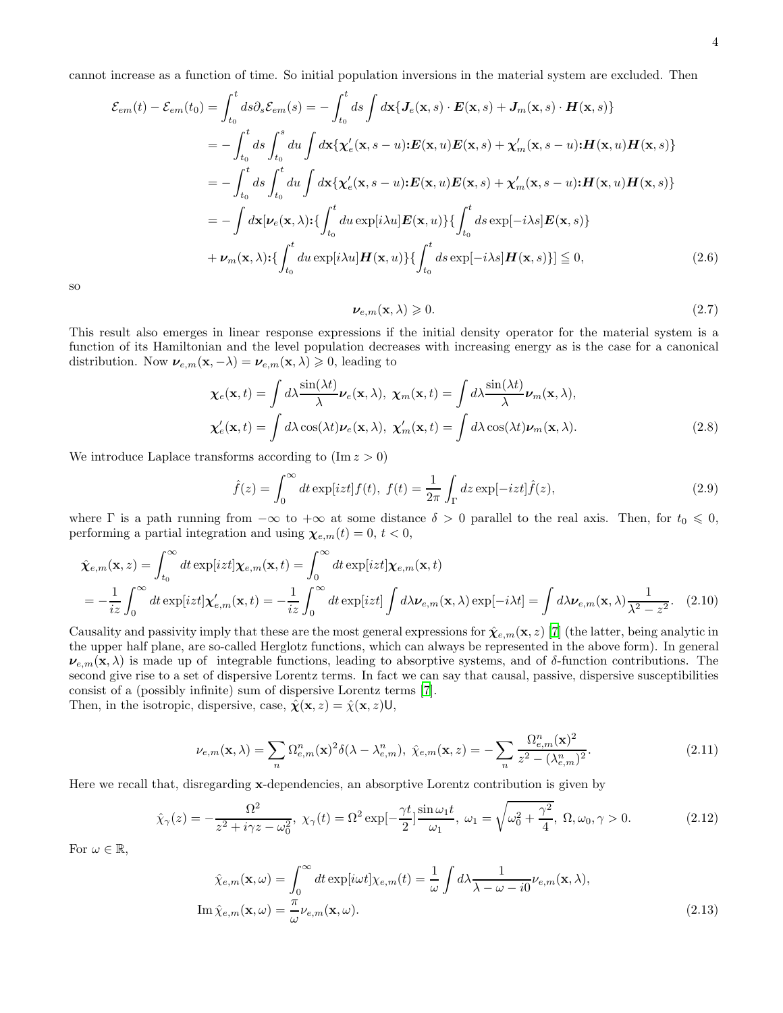cannot increase as a function of time. So initial population inversions in the material system are excluded. Then

$$
\mathcal{E}_{em}(t) - \mathcal{E}_{em}(t_0) = \int_{t_0}^t ds \partial_s \mathcal{E}_{em}(s) = -\int_{t_0}^t ds \int d\mathbf{x} \{ J_e(\mathbf{x}, s) \cdot \mathbf{E}(\mathbf{x}, s) + J_m(\mathbf{x}, s) \cdot \mathbf{H}(\mathbf{x}, s) \}
$$
  
\n
$$
= -\int_{t_0}^t ds \int_{t_0}^s du \int d\mathbf{x} \{ \chi'_e(\mathbf{x}, s - u) \cdot \mathbf{E}(\mathbf{x}, u) \mathbf{E}(\mathbf{x}, s) + \chi'_m(\mathbf{x}, s - u) \cdot \mathbf{H}(\mathbf{x}, u) \mathbf{H}(\mathbf{x}, s) \}
$$
  
\n
$$
= -\int_{t_0}^t ds \int_{t_0}^t du \int d\mathbf{x} \{ \chi'_e(\mathbf{x}, s - u) \cdot \mathbf{E}(\mathbf{x}, u) \mathbf{E}(\mathbf{x}, s) + \chi'_m(\mathbf{x}, s - u) \cdot \mathbf{H}(\mathbf{x}, u) \mathbf{H}(\mathbf{x}, s) \}
$$
  
\n
$$
= -\int d\mathbf{x} [\nu_e(\mathbf{x}, \lambda) \cdot \{\int_{t_0}^t du \exp[i\lambda u] \mathbf{E}(\mathbf{x}, u)\} \{\int_{t_0}^t ds \exp[-i\lambda s] \mathbf{E}(\mathbf{x}, s) \}
$$
  
\n
$$
+ \nu_m(\mathbf{x}, \lambda) \cdot \{\int_{t_0}^t du \exp[i\lambda u] \mathbf{H}(\mathbf{x}, u)\} \{\int_{t_0}^t ds \exp[-i\lambda s] \mathbf{H}(\mathbf{x}, s)\}] \leq 0,
$$
\n(2.6)

so

$$
\nu_{e,m}(\mathbf{x},\lambda) \geqslant 0. \tag{2.7}
$$

This result also emerges in linear response expressions if the initial density operator for the material system is a function of its Hamiltonian and the level population decreases with increasing energy as is the case for a canonical distribution. Now  $v_{e,m}(\mathbf{x}, -\lambda) = v_{e,m}(\mathbf{x}, \lambda) \geq 0$ , leading to

$$
\chi_e(\mathbf{x},t) = \int d\lambda \frac{\sin(\lambda t)}{\lambda} \nu_e(\mathbf{x},\lambda), \ \chi_m(\mathbf{x},t) = \int d\lambda \frac{\sin(\lambda t)}{\lambda} \nu_m(\mathbf{x},\lambda),
$$

$$
\chi'_e(\mathbf{x},t) = \int d\lambda \cos(\lambda t) \nu_e(\mathbf{x},\lambda), \ \chi'_m(\mathbf{x},t) = \int d\lambda \cos(\lambda t) \nu_m(\mathbf{x},\lambda).
$$
(2.8)

We introduce Laplace transforms according to  $(\text{Im } z > 0)$ 

$$
\hat{f}(z) = \int_0^\infty dt \exp[izt] f(t), \ f(t) = \frac{1}{2\pi} \int_\Gamma dz \exp[-izt] \hat{f}(z), \tag{2.9}
$$

where  $\Gamma$  is a path running from  $-\infty$  to  $+\infty$  at some distance  $\delta > 0$  parallel to the real axis. Then, for  $t_0 \leq 0$ , performing a partial integration and using  $\chi_{e,m}(t) = 0, t < 0$ ,

$$
\hat{\chi}_{e,m}(\mathbf{x},z) = \int_{t_0}^{\infty} dt \exp[izt] \chi_{e,m}(\mathbf{x},t) = \int_0^{\infty} dt \exp[izt] \chi_{e,m}(\mathbf{x},t)
$$
\n
$$
= -\frac{1}{iz} \int_0^{\infty} dt \exp[izt] \chi'_{e,m}(\mathbf{x},t) = -\frac{1}{iz} \int_0^{\infty} dt \exp[izt] \int d\lambda \nu_{e,m}(\mathbf{x},\lambda) \exp[-i\lambda t] = \int d\lambda \nu_{e,m}(\mathbf{x},\lambda) \frac{1}{\lambda^2 - z^2}.
$$
\n(2.10)

Causality and passivity imply that these are the most general expressions for  $\hat{\chi}_{e,m}(x, z)$  [\[7\]](#page-21-6) (the latter, being analytic in the upper half plane, are so-called Herglotz functions, which can always be represented in the above form). In general  $\nu_{e,m}(\mathbf{x}, \lambda)$  is made up of integrable functions, leading to absorptive systems, and of  $\delta$ -function contributions. The second give rise to a set of dispersive Lorentz terms. In fact we can say that causal, passive, dispersive susceptibilities consist of a (possibly infinite) sum of dispersive Lorentz terms [\[7](#page-21-6)]. Then, in the isotropic, dispersive, case,  $\hat{\chi}(\mathbf{x}, z) = \hat{\chi}(\mathbf{x}, z) \mathsf{U}$ ,

$$
\nu_{e,m}(\mathbf{x},\lambda) = \sum_{n} \Omega_{e,m}^{n}(\mathbf{x})^2 \delta(\lambda - \lambda_{e,m}^{n}), \ \hat{\chi}_{e,m}(\mathbf{x},z) = -\sum_{n} \frac{\Omega_{e,m}^{n}(\mathbf{x})^2}{z^2 - (\lambda_{e,m}^{n})^2}.
$$
\n(2.11)

Here we recall that, disregarding x-dependencies, an absorptive Lorentz contribution is given by

$$
\hat{\chi}_{\gamma}(z) = -\frac{\Omega^2}{z^2 + i\gamma z - \omega_0^2}, \ \chi_{\gamma}(t) = \Omega^2 \exp[-\frac{\gamma t}{2}] \frac{\sin \omega_1 t}{\omega_1}, \ \omega_1 = \sqrt{\omega_0^2 + \frac{\gamma^2}{4}}, \ \Omega, \omega_0, \gamma > 0. \tag{2.12}
$$

For  $\omega \in \mathbb{R}$ ,

$$
\hat{\chi}_{e,m}(\mathbf{x},\omega) = \int_0^\infty dt \exp[i\omega t] \chi_{e,m}(t) = \frac{1}{\omega} \int d\lambda \frac{1}{\lambda - \omega - i0} \nu_{e,m}(\mathbf{x},\lambda),
$$
  
\nIm  $\hat{\chi}_{e,m}(\mathbf{x},\omega) = \frac{\pi}{\omega} \nu_{e,m}(\mathbf{x},\omega).$ \n(2.13)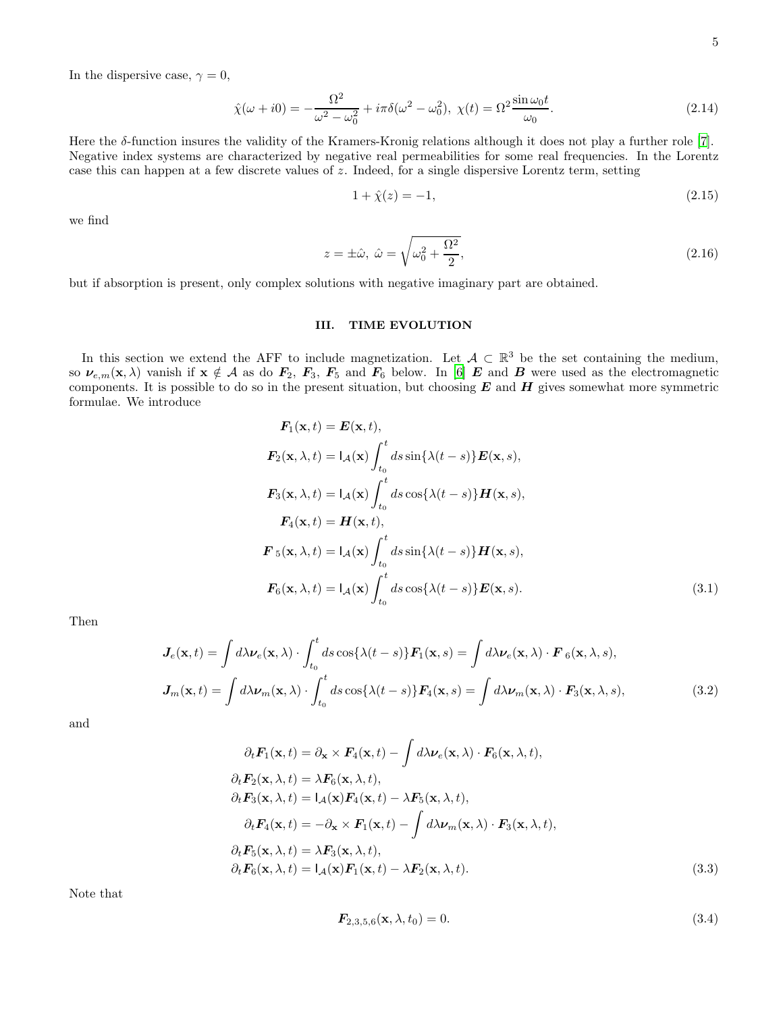In the dispersive case,  $\gamma = 0$ ,

$$
\hat{\chi}(\omega + i0) = -\frac{\Omega^2}{\omega^2 - \omega_0^2} + i\pi \delta(\omega^2 - \omega_0^2), \ \chi(t) = \Omega^2 \frac{\sin \omega_0 t}{\omega_0}.
$$
\n(2.14)

Here the  $\delta$ -function insures the validity of the Kramers-Kronig relations although it does not play a further role [\[7](#page-21-6)]. Negative index systems are characterized by negative real permeabilities for some real frequencies. In the Lorentz case this can happen at a few discrete values of  $z$ . Indeed, for a single dispersive Lorentz term, setting

$$
1 + \hat{\chi}(z) = -1,\tag{2.15}
$$

we find

$$
z = \pm \hat{\omega}, \ \hat{\omega} = \sqrt{\omega_0^2 + \frac{\Omega^2}{2}}, \tag{2.16}
$$

but if absorption is present, only complex solutions with negative imaginary part are obtained.

# III. TIME EVOLUTION

In this section we extend the AFF to include magnetization. Let  $\mathcal{A} \subset \mathbb{R}^3$  be the set containing the medium, so  $\nu_{e,m}(x, \lambda)$  vanish if  $x \notin A$  as do  $F_2$ ,  $F_3$ ,  $F_5$  and  $F_6$  below. In [\[6\]](#page-21-5) E and B were used as the electromagnetic components. It is possible to do so in the present situation, but choosing  $E$  and  $H$  gives somewhat more symmetric formulae. We introduce

$$
\mathbf{F}_1(\mathbf{x}, t) = \mathbf{E}(\mathbf{x}, t),
$$
\n
$$
\mathbf{F}_2(\mathbf{x}, \lambda, t) = I_A(\mathbf{x}) \int_{t_0}^t ds \sin{\{\lambda(t - s)\}} \mathbf{E}(\mathbf{x}, s),
$$
\n
$$
\mathbf{F}_3(\mathbf{x}, \lambda, t) = I_A(\mathbf{x}) \int_{t_0}^t ds \cos{\{\lambda(t - s)\}} \mathbf{H}(\mathbf{x}, s),
$$
\n
$$
\mathbf{F}_4(\mathbf{x}, t) = \mathbf{H}(\mathbf{x}, t),
$$
\n
$$
\mathbf{F}_5(\mathbf{x}, \lambda, t) = I_A(\mathbf{x}) \int_{t_0}^t ds \sin{\{\lambda(t - s)\}} \mathbf{H}(\mathbf{x}, s),
$$
\n
$$
\mathbf{F}_6(\mathbf{x}, \lambda, t) = I_A(\mathbf{x}) \int_{t_0}^t ds \cos{\{\lambda(t - s)\}} \mathbf{E}(\mathbf{x}, s).
$$
\n(3.1)

Then

$$
\mathbf{J}_e(\mathbf{x},t) = \int d\lambda \nu_e(\mathbf{x},\lambda) \cdot \int_{t_0}^t ds \cos\{\lambda(t-s)\} \mathbf{F}_1(\mathbf{x},s) = \int d\lambda \nu_e(\mathbf{x},\lambda) \cdot \mathbf{F}_6(\mathbf{x},\lambda,s),
$$

$$
\mathbf{J}_m(\mathbf{x},t) = \int d\lambda \nu_m(\mathbf{x},\lambda) \cdot \int_{t_0}^t ds \cos\{\lambda(t-s)\} \mathbf{F}_4(\mathbf{x},s) = \int d\lambda \nu_m(\mathbf{x},\lambda) \cdot \mathbf{F}_3(\mathbf{x},\lambda,s),
$$
(3.2)

and

$$
\partial_t \mathbf{F}_1(\mathbf{x}, t) = \partial_{\mathbf{x}} \times \mathbf{F}_4(\mathbf{x}, t) - \int d\lambda \nu_e(\mathbf{x}, \lambda) \cdot \mathbf{F}_6(\mathbf{x}, \lambda, t),
$$
  
\n
$$
\partial_t \mathbf{F}_2(\mathbf{x}, \lambda, t) = \lambda \mathbf{F}_6(\mathbf{x}, \lambda, t),
$$
  
\n
$$
\partial_t \mathbf{F}_3(\mathbf{x}, \lambda, t) = I_\mathcal{A}(\mathbf{x}) \mathbf{F}_4(\mathbf{x}, t) - \lambda \mathbf{F}_5(\mathbf{x}, \lambda, t),
$$
  
\n
$$
\partial_t \mathbf{F}_4(\mathbf{x}, t) = -\partial_{\mathbf{x}} \times \mathbf{F}_1(\mathbf{x}, t) - \int d\lambda \nu_m(\mathbf{x}, \lambda) \cdot \mathbf{F}_3(\mathbf{x}, \lambda, t),
$$
  
\n
$$
\partial_t \mathbf{F}_5(\mathbf{x}, \lambda, t) = \lambda \mathbf{F}_3(\mathbf{x}, \lambda, t),
$$
  
\n
$$
\partial_t \mathbf{F}_6(\mathbf{x}, \lambda, t) = I_\mathcal{A}(\mathbf{x}) \mathbf{F}_1(\mathbf{x}, t) - \lambda \mathbf{F}_2(\mathbf{x}, \lambda, t).
$$
\n(3.3)

Note that

$$
\mathbf{F}_{2,3,5,6}(\mathbf{x}, \lambda, t_0) = 0. \tag{3.4}
$$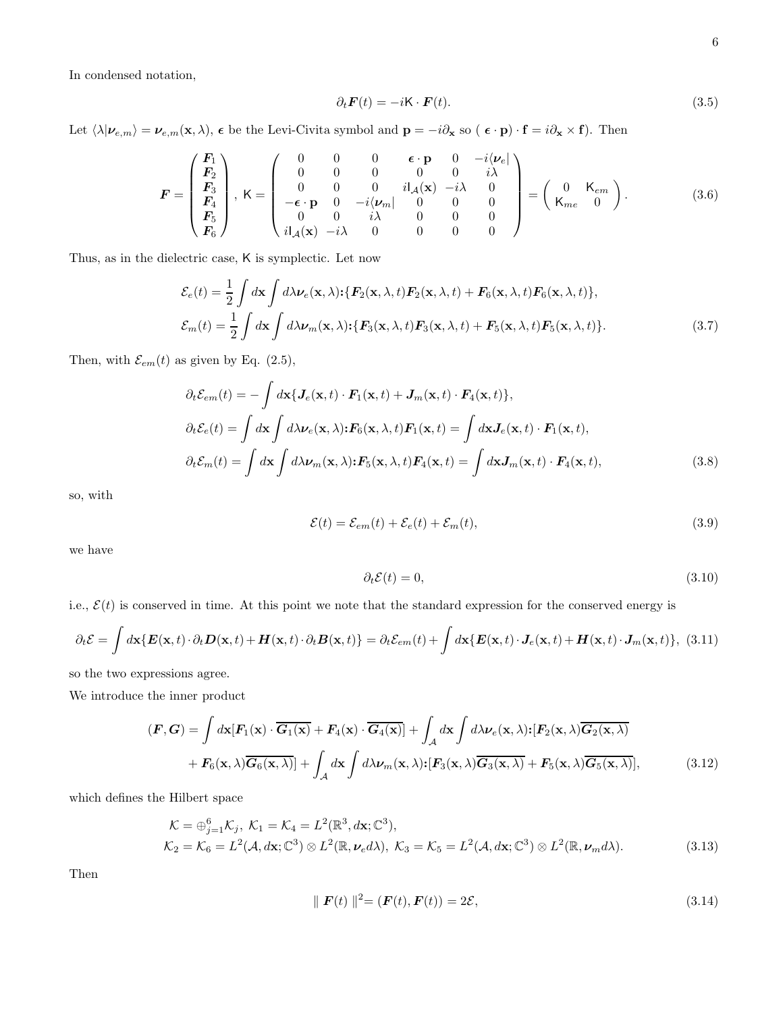In condensed notation,

$$
\partial_t \mathbf{F}(t) = -i\mathbf{K} \cdot \mathbf{F}(t). \tag{3.5}
$$

Let  $\langle \lambda | \nu_{e,m} \rangle = \nu_{e,m}(\mathbf{x}, \lambda)$ ,  $\epsilon$  be the Levi-Civita symbol and  $\mathbf{p} = -i\partial_{\mathbf{x}} \text{ so } (\epsilon \cdot \mathbf{p}) \cdot \mathbf{f} = i\partial_{\mathbf{x}} \times \mathbf{f}$ . Then

$$
\boldsymbol{F} = \begin{pmatrix} \boldsymbol{F}_{1} \\ \boldsymbol{F}_{2} \\ \boldsymbol{F}_{3} \\ \boldsymbol{F}_{4} \\ \boldsymbol{F}_{5} \\ \boldsymbol{F}_{6} \end{pmatrix}, \ \mathsf{K} = \begin{pmatrix} 0 & 0 & 0 & \boldsymbol{\epsilon} \cdot \mathbf{p} & 0 & -i \langle \boldsymbol{\nu}_{e} | \\ 0 & 0 & 0 & 0 & i \lambda \\ 0 & 0 & 0 & i I_{\mathcal{A}}(\mathbf{x}) & -i \lambda & 0 \\ -\boldsymbol{\epsilon} \cdot \mathbf{p} & 0 & -i \langle \boldsymbol{\nu}_{m} | & 0 & 0 & 0 \\ 0 & 0 & i \lambda & 0 & 0 & 0 \\ i I_{\mathcal{A}}(\mathbf{x}) & -i \lambda & 0 & 0 & 0 \end{pmatrix} = \begin{pmatrix} 0 & \mathsf{K}_{em} \\ \mathsf{K}_{me} & 0 \end{pmatrix}.
$$
 (3.6)

Thus, as in the dielectric case, K is symplectic. Let now

$$
\mathcal{E}_e(t) = \frac{1}{2} \int d\mathbf{x} \int d\lambda \nu_e(\mathbf{x}, \lambda) \cdot \{ \mathbf{F}_2(\mathbf{x}, \lambda, t) \mathbf{F}_2(\mathbf{x}, \lambda, t) + \mathbf{F}_6(\mathbf{x}, \lambda, t) \mathbf{F}_6(\mathbf{x}, \lambda, t) \},
$$
\n
$$
\mathcal{E}_m(t) = \frac{1}{2} \int d\mathbf{x} \int d\lambda \nu_m(\mathbf{x}, \lambda) \cdot \{ \mathbf{F}_3(\mathbf{x}, \lambda, t) \mathbf{F}_3(\mathbf{x}, \lambda, t) + \mathbf{F}_5(\mathbf{x}, \lambda, t) \mathbf{F}_5(\mathbf{x}, \lambda, t) \}.
$$
\n(3.7)

Then, with  $\mathcal{E}_{em}(t)$  as given by Eq. (2.5),

$$
\partial_t \mathcal{E}_{em}(t) = -\int d\mathbf{x} \{ \mathbf{J}_e(\mathbf{x}, t) \cdot \mathbf{F}_1(\mathbf{x}, t) + \mathbf{J}_m(\mathbf{x}, t) \cdot \mathbf{F}_4(\mathbf{x}, t) \},
$$
  
\n
$$
\partial_t \mathcal{E}_e(t) = \int d\mathbf{x} \int d\lambda \nu_e(\mathbf{x}, \lambda) \cdot \mathbf{F}_6(\mathbf{x}, \lambda, t) \mathbf{F}_1(\mathbf{x}, t) = \int d\mathbf{x} \mathbf{J}_e(\mathbf{x}, t) \cdot \mathbf{F}_1(\mathbf{x}, t),
$$
  
\n
$$
\partial_t \mathcal{E}_m(t) = \int d\mathbf{x} \int d\lambda \nu_m(\mathbf{x}, \lambda) \cdot \mathbf{F}_5(\mathbf{x}, \lambda, t) \mathbf{F}_4(\mathbf{x}, t) = \int d\mathbf{x} \mathbf{J}_m(\mathbf{x}, t) \cdot \mathbf{F}_4(\mathbf{x}, t),
$$
\n(3.8)

so, with

$$
\mathcal{E}(t) = \mathcal{E}_{em}(t) + \mathcal{E}_e(t) + \mathcal{E}_m(t),
$$
\n(3.9)

we have

$$
\partial_t \mathcal{E}(t) = 0,\tag{3.10}
$$

i.e.,  $\mathcal{E}(t)$  is conserved in time. At this point we note that the standard expression for the conserved energy is

$$
\partial_t \mathcal{E} = \int d\mathbf{x} \{ \mathbf{E}(\mathbf{x},t) \cdot \partial_t \mathbf{D}(\mathbf{x},t) + \mathbf{H}(\mathbf{x},t) \cdot \partial_t \mathbf{B}(\mathbf{x},t) \} = \partial_t \mathcal{E}_{em}(t) + \int d\mathbf{x} \{ \mathbf{E}(\mathbf{x},t) \cdot \mathbf{J}_e(\mathbf{x},t) + \mathbf{H}(\mathbf{x},t) \cdot \mathbf{J}_m(\mathbf{x},t) \},
$$
(3.11)

so the two expressions agree.

We introduce the inner product

$$
(F, G) = \int d\mathbf{x} [F_1(\mathbf{x}) \cdot \overline{G_1(\mathbf{x})} + F_4(\mathbf{x}) \cdot \overline{G_4(\mathbf{x})}] + \int_A d\mathbf{x} \int d\lambda \nu_e(\mathbf{x}, \lambda) : [F_2(\mathbf{x}, \lambda) \overline{G_2(\mathbf{x}, \lambda)}]
$$

$$
+ F_6(\mathbf{x}, \lambda) \overline{G_6(\mathbf{x}, \lambda)} + \int_A d\mathbf{x} \int d\lambda \nu_m(\mathbf{x}, \lambda) : [F_3(\mathbf{x}, \lambda) \overline{G_3(\mathbf{x}, \lambda)} + F_5(\mathbf{x}, \lambda) \overline{G_5(\mathbf{x}, \lambda)}], \tag{3.12}
$$

which defines the Hilbert space

$$
\mathcal{K} = \bigoplus_{j=1}^{6} \mathcal{K}_{j}, \ \mathcal{K}_{1} = \mathcal{K}_{4} = L^{2}(\mathbb{R}^{3}, d\mathbf{x}; \mathbb{C}^{3}), \n\mathcal{K}_{2} = \mathcal{K}_{6} = L^{2}(\mathcal{A}, d\mathbf{x}; \mathbb{C}^{3}) \otimes L^{2}(\mathbb{R}, \nu_{e} d\lambda), \ \mathcal{K}_{3} = \mathcal{K}_{5} = L^{2}(\mathcal{A}, d\mathbf{x}; \mathbb{C}^{3}) \otimes L^{2}(\mathbb{R}, \nu_{m} d\lambda).
$$
\n(3.13)

Then

$$
\| \mathbf{F}(t) \|^2 = (\mathbf{F}(t), \mathbf{F}(t)) = 2\mathcal{E}, \tag{3.14}
$$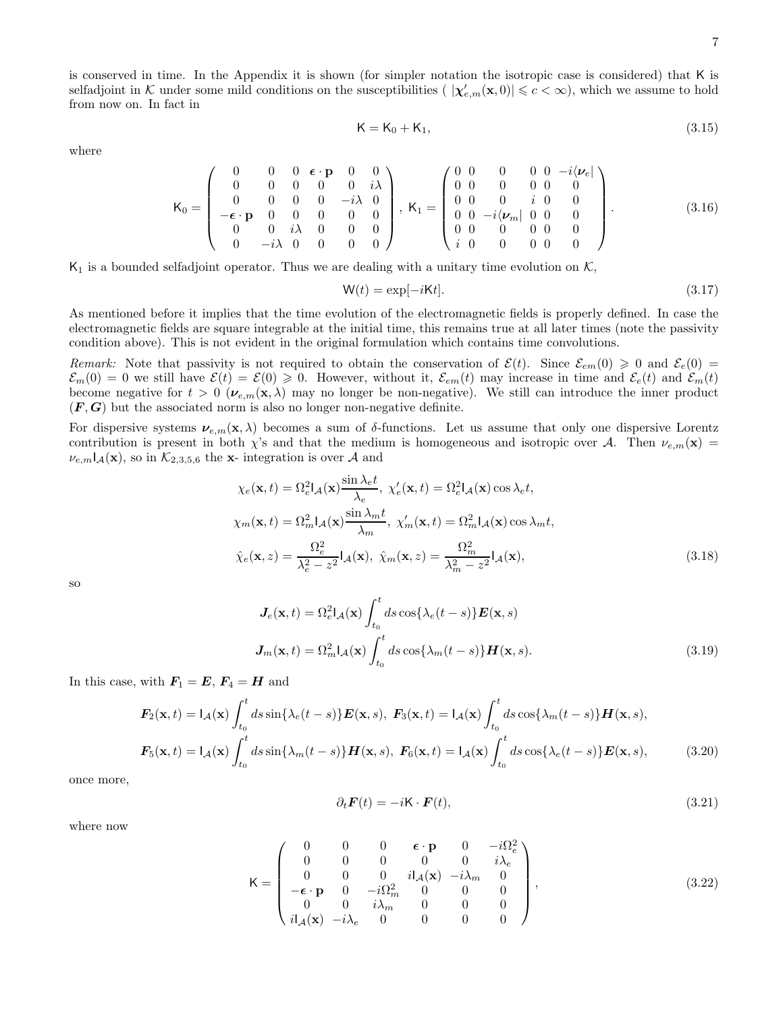is conserved in time. In the Appendix it is shown (for simpler notation the isotropic case is considered) that K is selfadjoint in K under some mild conditions on the susceptibilities  $(|\chi'_{e,m}(\mathbf{x},0)| \leq c < \infty)$ , which we assume to hold from now on. In fact in

$$
K = K_0 + K_1,\tag{3.15}
$$

where

$$
\mathsf{K}_{0} = \left(\begin{array}{cccccc} 0 & 0 & 0 & \boldsymbol{\epsilon} \cdot \mathbf{p} & 0 & 0 \\ 0 & 0 & 0 & 0 & 0 & i\lambda \\ 0 & 0 & 0 & 0 & -i\lambda & 0 \\ -\boldsymbol{\epsilon} \cdot \mathbf{p} & 0 & 0 & 0 & 0 \\ 0 & 0 & i\lambda & 0 & 0 & 0 \\ 0 & -i\lambda & 0 & 0 & 0 & 0 \end{array}\right), \ \mathsf{K}_{1} = \left(\begin{array}{cccccc} 0 & 0 & 0 & 0 & 0 & -i\langle \boldsymbol{\nu}_{e} \vert \\ 0 & 0 & 0 & 0 & 0 \\ 0 & 0 & 0 & i & 0 & 0 \\ 0 & 0 & -i\langle \boldsymbol{\nu}_{m} \vert & 0 & 0 & 0 \\ 0 & 0 & 0 & 0 & 0 & 0 \\ i & 0 & 0 & 0 & 0 & 0 \end{array}\right).
$$
(3.16)

 $K_1$  is a bounded selfadjoint operator. Thus we are dealing with a unitary time evolution on K,

$$
W(t) = \exp[-iKt].
$$
\n(3.17)

As mentioned before it implies that the time evolution of the electromagnetic fields is properly defined. In case the electromagnetic fields are square integrable at the initial time, this remains true at all later times (note the passivity condition above). This is not evident in the original formulation which contains time convolutions.

Remark: Note that passivity is not required to obtain the conservation of  $\mathcal{E}(t)$ . Since  $\mathcal{E}_{em}(0) \geq 0$  and  $\mathcal{E}_{e}(0)$  =  $\mathcal{E}_m(0) = 0$  we still have  $\mathcal{E}(t) = \mathcal{E}(0) \geq 0$ . However, without it,  $\mathcal{E}_{em}(t)$  may increase in time and  $\mathcal{E}_e(t)$  and  $\mathcal{E}_m(t)$ become negative for  $t > 0$  ( $v_{e,m}(x, \lambda)$  may no longer be non-negative). We still can introduce the inner product  $(F, G)$  but the associated norm is also no longer non-negative definite.

For dispersive systems  $v_{e,m}(\mathbf{x},\lambda)$  becomes a sum of  $\delta$ -functions. Let us assume that only one dispersive Lorentz contribution is present in both  $\chi$ 's and that the medium is homogeneous and isotropic over A. Then  $\nu_{e,m}(\mathbf{x})$  =  $\nu_{e,m}I_{\mathcal{A}}(\mathbf{x})$ , so in  $\mathcal{K}_{2,3,5,6}$  the x- integration is over  $\mathcal{A}$  and

$$
\chi_e(\mathbf{x}, t) = \Omega_e^2 \mathbf{I}_{\mathcal{A}}(\mathbf{x}) \frac{\sin \lambda_e t}{\lambda_e}, \ \chi'_e(\mathbf{x}, t) = \Omega_e^2 \mathbf{I}_{\mathcal{A}}(\mathbf{x}) \cos \lambda_e t,
$$

$$
\chi_m(\mathbf{x}, t) = \Omega_m^2 \mathbf{I}_{\mathcal{A}}(\mathbf{x}) \frac{\sin \lambda_m t}{\lambda_m}, \ \chi'_m(\mathbf{x}, t) = \Omega_m^2 \mathbf{I}_{\mathcal{A}}(\mathbf{x}) \cos \lambda_m t,
$$

$$
\hat{\chi}_e(\mathbf{x}, z) = \frac{\Omega_e^2}{\lambda_e^2 - z^2} \mathbf{I}_{\mathcal{A}}(\mathbf{x}), \ \hat{\chi}_m(\mathbf{x}, z) = \frac{\Omega_m^2}{\lambda_m^2 - z^2} \mathbf{I}_{\mathcal{A}}(\mathbf{x}), \tag{3.18}
$$

so

$$
\mathbf{J}_e(\mathbf{x},t) = \Omega_e^2 \mathbf{I}_{\mathcal{A}}(\mathbf{x}) \int_{t_0}^t ds \cos\{\lambda_e(t-s)\} \mathbf{E}(\mathbf{x},s)
$$

$$
\mathbf{J}_m(\mathbf{x},t) = \Omega_m^2 \mathbf{I}_{\mathcal{A}}(\mathbf{x}) \int_{t_0}^t ds \cos\{\lambda_m(t-s)\} \mathbf{H}(\mathbf{x},s).
$$
(3.19)

In this case, with  $F_1 = E, F_4 = H$  and

$$
\boldsymbol{F}_2(\mathbf{x},t) = I_{\mathcal{A}}(\mathbf{x}) \int_{t_0}^t ds \sin\{\lambda_e(t-s)\} \boldsymbol{E}(\mathbf{x},s), \ \boldsymbol{F}_3(\mathbf{x},t) = I_{\mathcal{A}}(\mathbf{x}) \int_{t_0}^t ds \cos\{\lambda_m(t-s)\} \boldsymbol{H}(\mathbf{x},s),
$$
\n
$$
\boldsymbol{F}_5(\mathbf{x},t) = I_{\mathcal{A}}(\mathbf{x}) \int_{t_0}^t ds \sin\{\lambda_m(t-s)\} \boldsymbol{H}(\mathbf{x},s), \ \boldsymbol{F}_6(\mathbf{x},t) = I_{\mathcal{A}}(\mathbf{x}) \int_{t_0}^t ds \cos\{\lambda_e(t-s)\} \boldsymbol{E}(\mathbf{x},s), \tag{3.20}
$$

once more,

$$
\partial_t \mathbf{F}(t) = -i\mathbf{K} \cdot \mathbf{F}(t),\tag{3.21}
$$

where now

$$
\mathbf{K} = \begin{pmatrix}\n0 & 0 & 0 & \boldsymbol{\epsilon} \cdot \mathbf{p} & 0 & -i\Omega_e^2 \\
0 & 0 & 0 & 0 & 0 & i\lambda_e \\
0 & 0 & 0 & iI_A(\mathbf{x}) & -i\lambda_m & 0 \\
-\boldsymbol{\epsilon} \cdot \mathbf{p} & 0 & -i\Omega_m^2 & 0 & 0 & 0 \\
0 & 0 & i\lambda_m & 0 & 0 & 0 \\
iI_A(\mathbf{x}) & -i\lambda_e & 0 & 0 & 0 & 0\n\end{pmatrix},
$$
\n(3.22)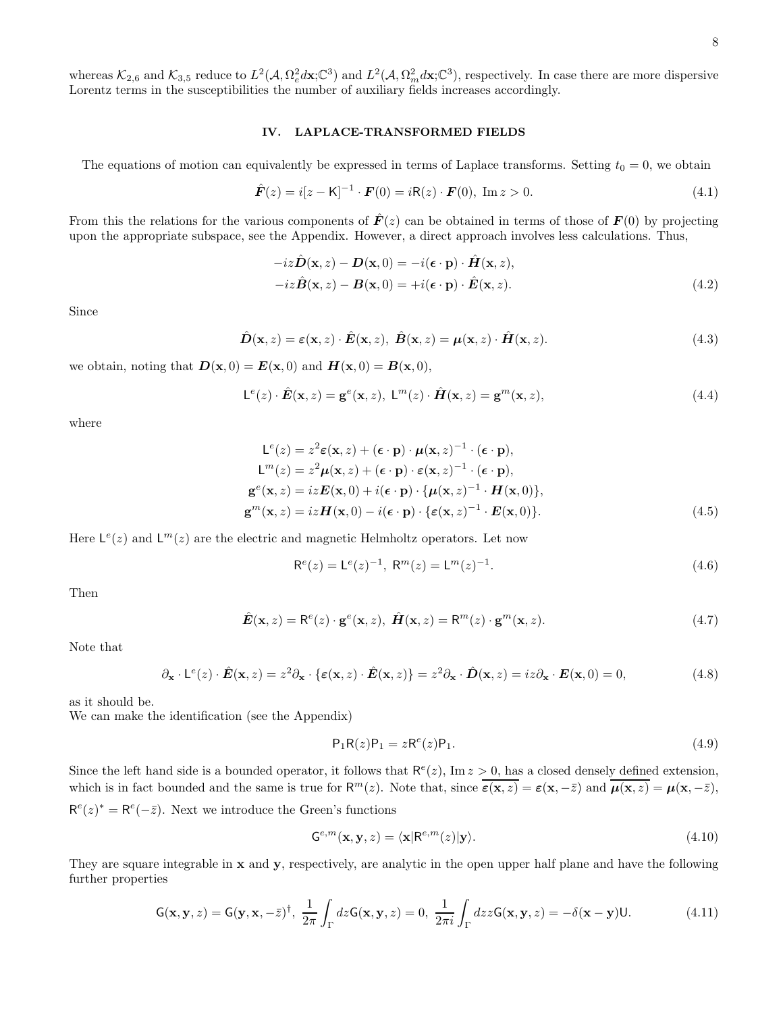whereas  $\mathcal{K}_{2,6}$  and  $\mathcal{K}_{3,5}$  reduce to  $L^2(\mathcal{A}, \Omega_e^2 d\mathbf{x}; \mathbb{C}^3)$  and  $L^2(\mathcal{A}, \Omega_m^2 d\mathbf{x}; \mathbb{C}^3)$ , respectively. In case there are more dispersive Lorentz terms in the susceptibilities the number of auxiliary fields increases accordingly.

## IV. LAPLACE-TRANSFORMED FIELDS

The equations of motion can equivalently be expressed in terms of Laplace transforms. Setting  $t_0 = 0$ , we obtain

$$
\hat{F}(z) = i[z - K]^{-1} \cdot F(0) = iR(z) \cdot F(0), \text{ Im } z > 0.
$$
\n(4.1)

From this the relations for the various components of  $\mathbf{F}(z)$  can be obtained in terms of those of  $\mathbf{F}(0)$  by projecting upon the appropriate subspace, see the Appendix. However, a direct approach involves less calculations. Thus,

$$
-iz\hat{\mathbf{D}}(\mathbf{x},z) - \mathbf{D}(\mathbf{x},0) = -i(\boldsymbol{\epsilon} \cdot \mathbf{p}) \cdot \hat{\mathbf{H}}(\mathbf{x},z),
$$
  

$$
-iz\hat{\mathbf{B}}(\mathbf{x},z) - \mathbf{B}(\mathbf{x},0) = +i(\boldsymbol{\epsilon} \cdot \mathbf{p}) \cdot \hat{\mathbf{E}}(\mathbf{x},z).
$$
 (4.2)

Since

$$
\hat{\mathbf{D}}(\mathbf{x}, z) = \varepsilon(\mathbf{x}, z) \cdot \hat{\mathbf{E}}(\mathbf{x}, z), \ \hat{\mathbf{B}}(\mathbf{x}, z) = \boldsymbol{\mu}(\mathbf{x}, z) \cdot \hat{\mathbf{H}}(\mathbf{x}, z).
$$
\n(4.3)

we obtain, noting that  $\mathbf{D}(\mathbf{x},0) = \mathbf{E}(\mathbf{x},0)$  and  $\mathbf{H}(\mathbf{x},0) = \mathbf{B}(\mathbf{x},0)$ ,

$$
\mathsf{L}^{e}(z) \cdot \hat{\mathbf{E}}(\mathbf{x}, z) = \mathbf{g}^{e}(\mathbf{x}, z), \ \mathsf{L}^{m}(z) \cdot \hat{\mathbf{H}}(\mathbf{x}, z) = \mathbf{g}^{m}(\mathbf{x}, z), \tag{4.4}
$$

where

$$
L^{e}(z) = z^{2} \varepsilon(\mathbf{x}, z) + (\boldsymbol{\epsilon} \cdot \mathbf{p}) \cdot \boldsymbol{\mu}(\mathbf{x}, z)^{-1} \cdot (\boldsymbol{\epsilon} \cdot \mathbf{p}),
$$
  
\n
$$
L^{m}(z) = z^{2} \boldsymbol{\mu}(\mathbf{x}, z) + (\boldsymbol{\epsilon} \cdot \mathbf{p}) \cdot \varepsilon(\mathbf{x}, z)^{-1} \cdot (\boldsymbol{\epsilon} \cdot \mathbf{p}),
$$
  
\n
$$
\mathbf{g}^{e}(\mathbf{x}, z) = iz \mathbf{E}(\mathbf{x}, 0) + i(\boldsymbol{\epsilon} \cdot \mathbf{p}) \cdot {\boldsymbol{\mu}(\mathbf{x}, z)^{-1}} \cdot \mathbf{H}(\mathbf{x}, 0),
$$
  
\n
$$
\mathbf{g}^{m}(\mathbf{x}, z) = iz \mathbf{H}(\mathbf{x}, 0) - i(\boldsymbol{\epsilon} \cdot \mathbf{p}) \cdot {\boldsymbol{\epsilon}(\mathbf{x}, z)^{-1}} \cdot \mathbf{E}(\mathbf{x}, 0).
$$
\n(4.5)

Here  $\mathsf{L}^e(z)$  and  $\mathsf{L}^m(z)$  are the electric and magnetic Helmholtz operators. Let now

$$
\mathsf{R}^e(z) = \mathsf{L}^e(z)^{-1}, \ \mathsf{R}^m(z) = \mathsf{L}^m(z)^{-1}.
$$
 (4.6)

Then

$$
\hat{E}(\mathbf{x}, z) = \mathbf{R}^e(z) \cdot \mathbf{g}^e(\mathbf{x}, z), \ \hat{H}(\mathbf{x}, z) = \mathbf{R}^m(z) \cdot \mathbf{g}^m(\mathbf{x}, z).
$$
\n(4.7)

Note that

$$
\partial_{\mathbf{x}} \cdot \mathsf{L}^{e}(z) \cdot \hat{\mathbf{E}}(\mathbf{x}, z) = z^{2} \partial_{\mathbf{x}} \cdot \{ \varepsilon(\mathbf{x}, z) \cdot \hat{\mathbf{E}}(\mathbf{x}, z) \} = z^{2} \partial_{\mathbf{x}} \cdot \hat{\mathbf{D}}(\mathbf{x}, z) = iz \partial_{\mathbf{x}} \cdot \mathbf{E}(\mathbf{x}, 0) = 0,
$$
\n(4.8)

as it should be.

We can make the identification (see the Appendix)

$$
\mathsf{P}_1 \mathsf{R}(z) \mathsf{P}_1 = z \mathsf{R}^e(z) \mathsf{P}_1. \tag{4.9}
$$

Since the left hand side is a bounded operator, it follows that  $\mathsf{R}^e(z)$ , Im  $z > 0$ , has a closed densely defined extension, which is in fact bounded and the same is true for  $R^m(z)$ . Note that, since  $\overline{\varepsilon(x,z)} = \varepsilon(x,-\overline{z})$  and  $\overline{\mu(x,z)} = \mu(x,-\overline{z})$ ,  $\mathsf{R}^e(z)^* = \mathsf{R}^e(-\bar{z})$ . Next we introduce the Green's functions

$$
\mathbf{G}^{e,m}(\mathbf{x}, \mathbf{y}, z) = \langle \mathbf{x} | \mathbf{R}^{e,m}(z) | \mathbf{y} \rangle.
$$
 (4.10)

They are square integrable in x and y, respectively, are analytic in the open upper half plane and have the following further properties

$$
\mathsf{G}(\mathbf{x}, \mathbf{y}, z) = \mathsf{G}(\mathbf{y}, \mathbf{x}, -\bar{z})^{\dagger}, \ \frac{1}{2\pi} \int_{\Gamma} dz \mathsf{G}(\mathbf{x}, \mathbf{y}, z) = 0, \ \frac{1}{2\pi i} \int_{\Gamma} dz z \mathsf{G}(\mathbf{x}, \mathbf{y}, z) = -\delta(\mathbf{x} - \mathbf{y}) \mathsf{U}.
$$
 (4.11)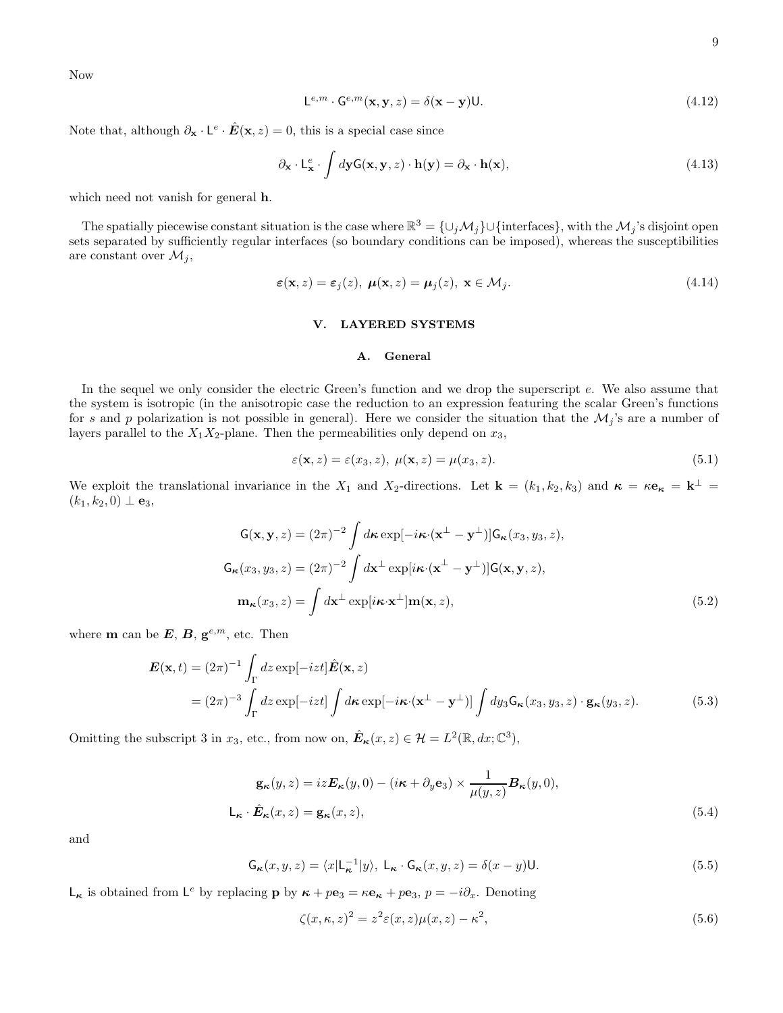Now

$$
\mathsf{L}^{e,m} \cdot \mathsf{G}^{e,m}(\mathbf{x}, \mathbf{y}, z) = \delta(\mathbf{x} - \mathbf{y}) \mathsf{U}.\tag{4.12}
$$

Note that, although  $\partial_{\mathbf{x}} \cdot \mathsf{L}^e \cdot \hat{\mathbf{E}}(\mathbf{x}, z) = 0$ , this is a special case since

$$
\partial_{\mathbf{x}} \cdot \mathsf{L}_{\mathbf{x}}^{e} \cdot \int d\mathbf{y} \mathsf{G}(\mathbf{x}, \mathbf{y}, z) \cdot \mathbf{h}(\mathbf{y}) = \partial_{\mathbf{x}} \cdot \mathbf{h}(\mathbf{x}), \tag{4.13}
$$

which need not vanish for general h.

The spatially piecewise constant situation is the case where  $\mathbb{R}^3 = \{\cup_j \mathcal{M}_j\} \cup \{\text{interfaces}\},\$  with the  $\mathcal{M}_j$ 's disjoint open sets separated by sufficiently regular interfaces (so boundary conditions can be imposed), whereas the susceptibilities are constant over  $\mathcal{M}_j$ ,

$$
\varepsilon(\mathbf{x}, z) = \varepsilon_j(z), \ \boldsymbol{\mu}(\mathbf{x}, z) = \boldsymbol{\mu}_j(z), \ \mathbf{x} \in \mathcal{M}_j. \tag{4.14}
$$

# V. LAYERED SYSTEMS

# A. General

In the sequel we only consider the electric Green's function and we drop the superscript e. We also assume that the system is isotropic (in the anisotropic case the reduction to an expression featuring the scalar Green's functions for s and p polarization is not possible in general). Here we consider the situation that the  $\mathcal{M}_j$ 's are a number of layers parallel to the  $X_1X_2$ -plane. Then the permeabilities only depend on  $x_3$ ,

$$
\varepsilon(\mathbf{x}, z) = \varepsilon(x_3, z), \ \mu(\mathbf{x}, z) = \mu(x_3, z). \tag{5.1}
$$

We exploit the translational invariance in the  $X_1$  and  $X_2$ -directions. Let  $\mathbf{k} = (k_1, k_2, k_3)$  and  $\boldsymbol{\kappa} = \kappa \mathbf{e}_{\boldsymbol{\kappa}} = \mathbf{k}^{\perp} =$  $(k_1, k_2, 0) \perp {\bf e}_3,$ 

$$
G(\mathbf{x}, \mathbf{y}, z) = (2\pi)^{-2} \int d\mathbf{\kappa} \exp[-i\mathbf{\kappa} \cdot (\mathbf{x}^{\perp} - \mathbf{y}^{\perp})] G_{\mathbf{\kappa}}(x_3, y_3, z),
$$
  
\n
$$
G_{\mathbf{\kappa}}(x_3, y_3, z) = (2\pi)^{-2} \int d\mathbf{x}^{\perp} \exp[i\mathbf{\kappa} \cdot (\mathbf{x}^{\perp} - \mathbf{y}^{\perp})] G(\mathbf{x}, \mathbf{y}, z),
$$
  
\n
$$
\mathbf{m}_{\mathbf{\kappa}}(x_3, z) = \int d\mathbf{x}^{\perp} \exp[i\mathbf{\kappa} \cdot \mathbf{x}^{\perp}] \mathbf{m}(\mathbf{x}, z),
$$
\n(5.2)

where **m** can be  $E, B, g^{e,m}$ , etc. Then

$$
\mathbf{E}(\mathbf{x},t) = (2\pi)^{-1} \int_{\Gamma} dz \exp[-izt] \hat{\mathbf{E}}(\mathbf{x},z)
$$
  
=  $(2\pi)^{-3} \int_{\Gamma} dz \exp[-izt] \int d\mathbf{x} \exp[-i\kappa \cdot (\mathbf{x}^{\perp} - \mathbf{y}^{\perp})] \int dy_3 \mathbf{G}_{\kappa}(x_3, y_3, z) \cdot \mathbf{g}_{\kappa}(y_3, z).$  (5.3)

Omitting the subscript 3 in  $x_3$ , etc., from now on,  $\hat{\mathbf{E}}_{\kappa}(x, z) \in \mathcal{H} = L^2(\mathbb{R}, dx; \mathbb{C}^3)$ ,

$$
\mathbf{g}_{\kappa}(y, z) = iz \mathbf{E}_{\kappa}(y, 0) - (i\kappa + \partial_y \mathbf{e}_3) \times \frac{1}{\mu(y, z)} \mathbf{B}_{\kappa}(y, 0),
$$
  

$$
\mathsf{L}_{\kappa} \cdot \hat{\mathbf{E}}_{\kappa}(x, z) = \mathbf{g}_{\kappa}(x, z),
$$
 (5.4)

and

$$
\mathsf{G}_{\kappa}(x, y, z) = \langle x | \mathsf{L}_{\kappa}^{-1} | y \rangle, \ \mathsf{L}_{\kappa} \cdot \mathsf{G}_{\kappa}(x, y, z) = \delta(x - y) \mathsf{U}.
$$

 $\mathsf{L}_{\kappa}$  is obtained from  $\mathsf{L}^e$  by replacing  $\mathbf{p}$  by  $\kappa + p\mathbf{e}_3 = \kappa \mathbf{e}_{\kappa} + p\mathbf{e}_3$ ,  $p = -i\partial_x$ . Denoting

$$
\zeta(x,\kappa,z)^2 = z^2 \varepsilon(x,z)\mu(x,z) - \kappa^2,\tag{5.6}
$$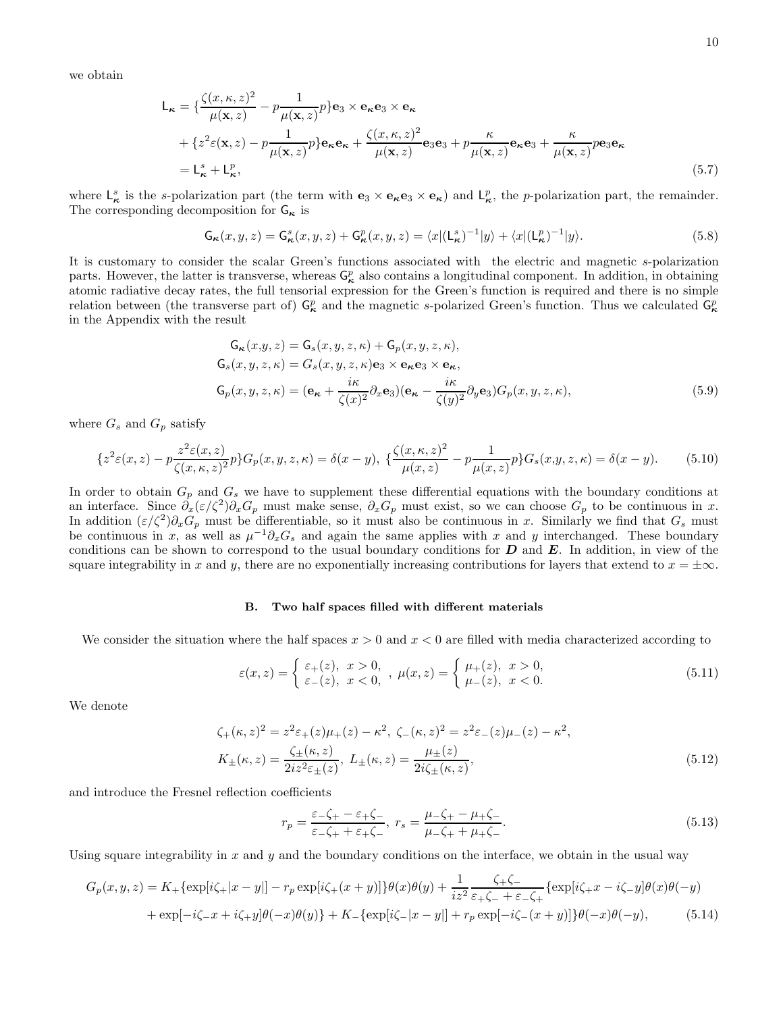we obtain

$$
L_{\kappa} = \left\{ \frac{\zeta(x,\kappa,z)^2}{\mu(\mathbf{x},z)} - p \frac{1}{\mu(\mathbf{x},z)} p \right\} \mathbf{e}_3 \times \mathbf{e}_{\kappa} \mathbf{e}_3 \times \mathbf{e}_{\kappa} + \left\{ z^2 \varepsilon(\mathbf{x},z) - p \frac{1}{\mu(\mathbf{x},z)} p \right\} \mathbf{e}_{\kappa} \mathbf{e}_{\kappa} + \frac{\zeta(x,\kappa,z)^2}{\mu(\mathbf{x},z)} \mathbf{e}_3 \mathbf{e}_3 + p \frac{\kappa}{\mu(\mathbf{x},z)} \mathbf{e}_{\kappa} \mathbf{e}_3 + \frac{\kappa}{\mu(\mathbf{x},z)} p \mathbf{e}_3 \mathbf{e}_{\kappa} = L_{\kappa}^s + L_{\kappa}^p,
$$
\n(5.7)

where  $\mathsf{L}^s_{\kappa}$  is the s-polarization part (the term with  $\mathbf{e}_3 \times \mathbf{e}_{\kappa} \mathbf{e}_3 \times \mathbf{e}_{\kappa}$ ) and  $\mathsf{L}^p_{\kappa}$ , the p-polarization part, the remainder. The corresponding decomposition for  ${\sf G}_\kappa$  is

$$
\mathsf{G}_{\kappa}(x,y,z) = \mathsf{G}^s_{\kappa}(x,y,z) + \mathsf{G}^p_{\kappa}(x,y,z) = \langle x | (\mathsf{L}^s_{\kappa})^{-1} | y \rangle + \langle x | (\mathsf{L}^p_{\kappa})^{-1} | y \rangle. \tag{5.8}
$$

It is customary to consider the scalar Green's functions associated with the electric and magnetic s-polarization parts. However, the latter is transverse, whereas  $G_{\kappa}^p$  also contains a longitudinal component. In addition, in obtaining atomic radiative decay rates, the full tensorial expression for the Green's function is required and there is no simple relation between (the transverse part of)  $G_{\kappa}^p$  and the magnetic s-polarized Green's function. Thus we calculated  $G_{\kappa}^p$ in the Appendix with the result

$$
G_{\kappa}(x,y,z) = G_{s}(x,y,z,\kappa) + G_{p}(x,y,z,\kappa),
$$
  
\n
$$
G_{s}(x,y,z,\kappa) = G_{s}(x,y,z,\kappa) \mathbf{e}_{3} \times \mathbf{e}_{\kappa} \mathbf{e}_{3} \times \mathbf{e}_{\kappa},
$$
  
\n
$$
G_{p}(x,y,z,\kappa) = (\mathbf{e}_{\kappa} + \frac{i\kappa}{\zeta(x)^{2}} \partial_{x} \mathbf{e}_{3}) (\mathbf{e}_{\kappa} - \frac{i\kappa}{\zeta(y)^{2}} \partial_{y} \mathbf{e}_{3}) G_{p}(x,y,z,\kappa),
$$
\n(5.9)

where  $G_s$  and  $G_p$  satisfy

$$
\{z^2\varepsilon(x,z) - p\frac{z^2\varepsilon(x,z)}{\zeta(x,\kappa,z)^2}p\}G_p(x,y,z,\kappa) = \delta(x-y), \ \{\frac{\zeta(x,\kappa,z)^2}{\mu(x,z)} - p\frac{1}{\mu(x,z)}p\}G_s(x,y,z,\kappa) = \delta(x-y). \tag{5.10}
$$

In order to obtain  $G_p$  and  $G_s$  we have to supplement these differential equations with the boundary conditions at an interface. Since  $\partial_x(\varepsilon/\zeta^2)\partial_xG_p$  must make sense,  $\partial_xG_p$  must exist, so we can choose  $G_p$  to be continuous in x. In addition  $(\varepsilon/\zeta^2)\partial_x G_p$  must be differentiable, so it must also be continuous in x. Similarly we find that  $G_s$  must be continuous in x, as well as  $\mu^{-1}\partial_x G_s$  and again the same applies with x and y interchanged. These boundary conditions can be shown to correspond to the usual boundary conditions for  $D$  and  $E$ . In addition, in view of the square integrability in x and y, there are no exponentially increasing contributions for layers that extend to  $x = \pm \infty$ .

### B. Two half spaces filled with different materials

We consider the situation where the half spaces  $x > 0$  and  $x < 0$  are filled with media characterized according to

$$
\varepsilon(x,z) = \begin{cases} \varepsilon_{+}(z), & x > 0, \\ \varepsilon_{-}(z), & x < 0, \end{cases}, \mu(x,z) = \begin{cases} \mu_{+}(z), & x > 0, \\ \mu_{-}(z), & x < 0. \end{cases}
$$
\n(5.11)

We denote

$$
\zeta_{+}(\kappa, z)^{2} = z^{2} \varepsilon_{+}(z) \mu_{+}(z) - \kappa^{2}, \ \zeta_{-}(\kappa, z)^{2} = z^{2} \varepsilon_{-}(z) \mu_{-}(z) - \kappa^{2},
$$
\n
$$
K_{\pm}(\kappa, z) = \frac{\zeta_{\pm}(\kappa, z)}{2i z^{2} \varepsilon_{\pm}(z)}, \ L_{\pm}(\kappa, z) = \frac{\mu_{\pm}(z)}{2i \zeta_{\pm}(\kappa, z)},
$$
\n(5.12)

and introduce the Fresnel reflection coefficients

$$
r_p = \frac{\varepsilon - \zeta_+ - \varepsilon_+ \zeta_-}{\varepsilon - \zeta_+ + \varepsilon_+ \zeta_-}, \ r_s = \frac{\mu - \zeta_+ - \mu_+ \zeta_-}{\mu - \zeta_+ + \mu_+ \zeta_-}.
$$
 (5.13)

Using square integrability in  $x$  and  $y$  and the boundary conditions on the interface, we obtain in the usual way

$$
G_p(x, y, z) = K_+\{\exp[i\zeta_{+}|x-y|] - r_p \exp[i\zeta_{+}(x+y)]\}\theta(x)\theta(y) + \frac{1}{iz^2} \frac{\zeta_{+}\zeta_{-}}{\varepsilon_{+}\zeta_{-} + \varepsilon_{-}\zeta_{+}} \{\exp[i\zeta_{+}x - i\zeta_{-}y]\theta(x)\theta(-y) + \exp[-i\zeta_{-}x + i\zeta_{+}y]\theta(-x)\theta(y)\} + K_-\{\exp[i\zeta_{-}|x-y|] + r_p \exp[-i\zeta_{-}(x+y)]\}\theta(-x)\theta(-y),
$$
\n(5.14)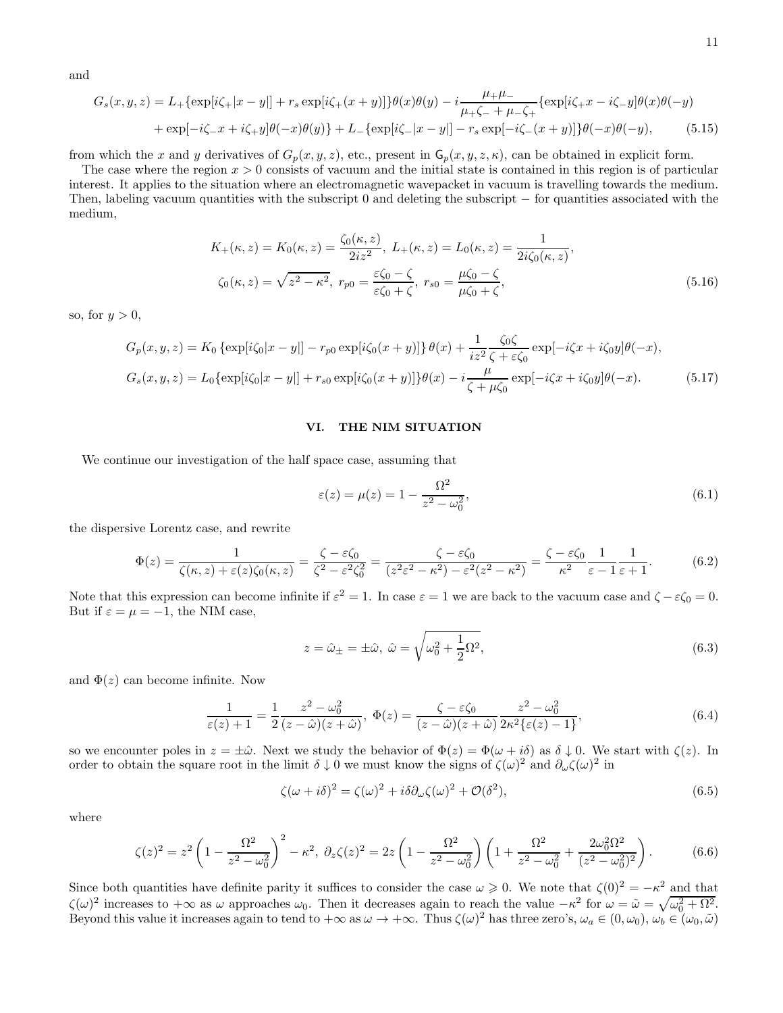and

$$
G_s(x, y, z) = L_+\{\exp[i\zeta_{+}|x-y|] + r_s \exp[i\zeta_{+}(x+y)]\}\theta(x)\theta(y) - i\frac{\mu_{+}\mu_{-}}{\mu_{+}\zeta_{-} + \mu_{-}\zeta_{+}}\{\exp[i\zeta_{+}x - i\zeta_{-}y]\theta(x)\theta(-y) + \exp[-i\zeta_{-}x + i\zeta_{+}y]\theta(-x)\theta(y)\} + L_-\{\exp[i\zeta_{-}|x-y|] - r_s \exp[-i\zeta_{-}(x+y)]\}\theta(-x)\theta(-y),
$$
\n(5.15)

from which the x and y derivatives of  $G_p(x, y, z)$ , etc., present in  $G_p(x, y, z, \kappa)$ , can be obtained in explicit form.

The case where the region  $x > 0$  consists of vacuum and the initial state is contained in this region is of particular interest. It applies to the situation where an electromagnetic wavepacket in vacuum is travelling towards the medium. Then, labeling vacuum quantities with the subscript 0 and deleting the subscript − for quantities associated with the medium,

$$
K_{+}(\kappa, z) = K_{0}(\kappa, z) = \frac{\zeta_{0}(\kappa, z)}{2iz^{2}}, \ L_{+}(\kappa, z) = L_{0}(\kappa, z) = \frac{1}{2i\zeta_{0}(\kappa, z)},
$$
  

$$
\zeta_{0}(\kappa, z) = \sqrt{z^{2} - \kappa^{2}}, \ r_{p0} = \frac{\varepsilon\zeta_{0} - \zeta}{\varepsilon\zeta_{0} + \zeta}, \ r_{s0} = \frac{\mu\zeta_{0} - \zeta}{\mu\zeta_{0} + \zeta},
$$
 (5.16)

so, for  $y > 0$ ,

$$
G_p(x, y, z) = K_0 \{ \exp[i\zeta_0 |x - y|] - r_{p0} \exp[i\zeta_0 (x + y)] \} \theta(x) + \frac{1}{iz^2} \frac{\zeta_0 \zeta}{\zeta + \varepsilon \zeta_0} \exp[-i\zeta x + i\zeta_0 y] \theta(-x),
$$
  

$$
G_s(x, y, z) = L_0 \{ \exp[i\zeta_0 |x - y|] + r_{s0} \exp[i\zeta_0 (x + y)] \} \theta(x) - i \frac{\mu}{\zeta + \mu \zeta_0} \exp[-i\zeta x + i\zeta_0 y] \theta(-x). \tag{5.17}
$$

### VI. THE NIM SITUATION

We continue our investigation of the half space case, assuming that

$$
\varepsilon(z) = \mu(z) = 1 - \frac{\Omega^2}{z^2 - \omega_0^2},
$$
\n(6.1)

the dispersive Lorentz case, and rewrite

$$
\Phi(z) = \frac{1}{\zeta(\kappa, z) + \varepsilon(z)\zeta_0(\kappa, z)} = \frac{\zeta - \varepsilon\zeta_0}{\zeta^2 - \varepsilon^2\zeta_0^2} = \frac{\zeta - \varepsilon\zeta_0}{(z^2\varepsilon^2 - \kappa^2) - \varepsilon^2(z^2 - \kappa^2)} = \frac{\zeta - \varepsilon\zeta_0}{\kappa^2} \frac{1}{\varepsilon - 1} \frac{1}{\varepsilon + 1}.
$$
 (6.2)

Note that this expression can become infinite if  $\varepsilon^2 = 1$ . In case  $\varepsilon = 1$  we are back to the vacuum case and  $\zeta - \varepsilon \zeta_0 = 0$ . But if  $\varepsilon = \mu = -1$ , the NIM case,

$$
z = \hat{\omega}_{\pm} = \pm \hat{\omega}, \ \hat{\omega} = \sqrt{\omega_0^2 + \frac{1}{2}\Omega^2},\tag{6.3}
$$

and  $\Phi(z)$  can become infinite. Now

$$
\frac{1}{\varepsilon(z)+1} = \frac{1}{2} \frac{z^2 - \omega_0^2}{(z-\hat{\omega})(z+\hat{\omega})}, \quad \Phi(z) = \frac{\zeta - \varepsilon \zeta_0}{(z-\hat{\omega})(z+\hat{\omega})} \frac{z^2 - \omega_0^2}{2\kappa^2 \{\varepsilon(z)-1\}},
$$
\n(6.4)

so we encounter poles in  $z = \pm \hat{\omega}$ . Next we study the behavior of  $\Phi(z) = \Phi(\omega + i\delta)$  as  $\delta \downarrow 0$ . We start with  $\zeta(z)$ . In order to obtain the square root in the limit  $\delta \downarrow 0$  we must know the signs of  $\zeta(\omega)^2$  and  $\partial_{\omega}\zeta(\omega)^2$  in

$$
\zeta(\omega + i\delta)^2 = \zeta(\omega)^2 + i\delta\partial_\omega\zeta(\omega)^2 + \mathcal{O}(\delta^2),\tag{6.5}
$$

where

$$
\zeta(z)^2 = z^2 \left(1 - \frac{\Omega^2}{z^2 - \omega_0^2}\right)^2 - \kappa^2, \ \partial_z \zeta(z)^2 = 2z \left(1 - \frac{\Omega^2}{z^2 - \omega_0^2}\right) \left(1 + \frac{\Omega^2}{z^2 - \omega_0^2} + \frac{2\omega_0^2 \Omega^2}{(z^2 - \omega_0^2)^2}\right). \tag{6.6}
$$

Since both quantities have definite parity it suffices to consider the case  $\omega \geq 0$ . We note that  $\zeta(0)^2 = -\kappa^2$  and that  $\zeta(\omega)^2$  increases to  $+\infty$  as  $\omega$  approaches  $\omega_0$ . Then it decreases again to reach the value  $-\kappa^2$  for  $\omega = \tilde{\omega} = \sqrt{\omega_0^2 + \Omega^2}$ . Beyond this value it increases again to tend to  $+\infty$  as  $\omega \to +\infty$ . Thus  $\zeta(\omega)^2$  has three zero's,  $\omega_a \in (0, \omega_0)$ ,  $\omega_b \in (\omega_0, \tilde{\omega})$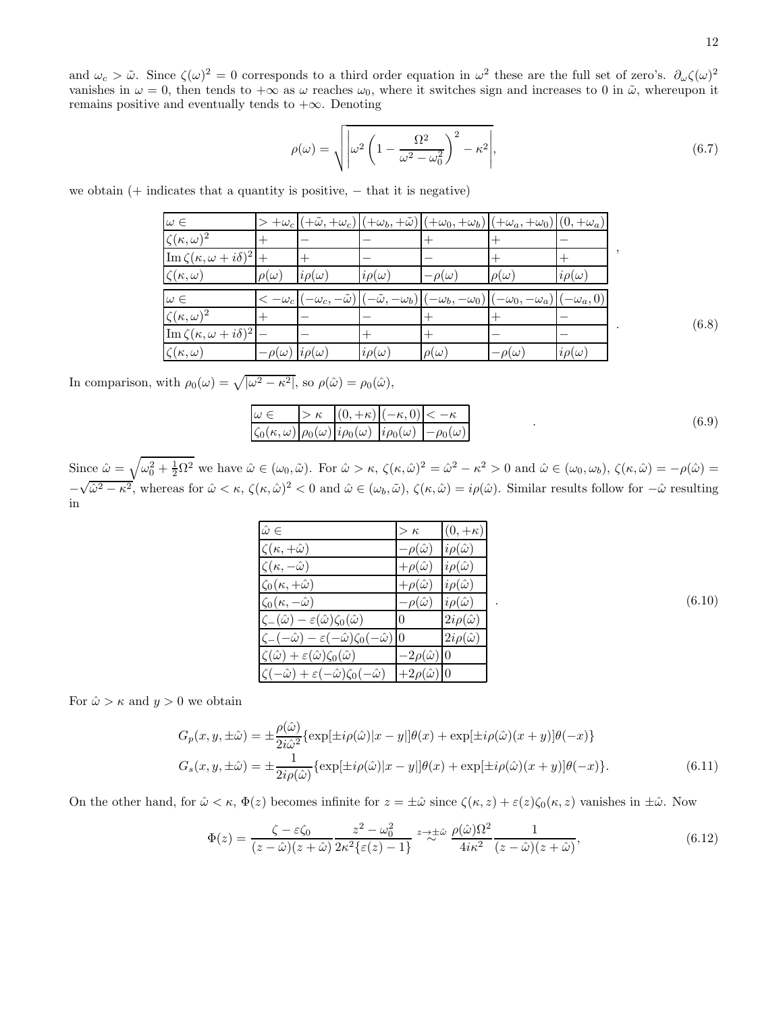and  $\omega_c > \tilde{\omega}$ . Since  $\zeta(\omega)^2 = 0$  corresponds to a third order equation in  $\omega^2$  these are the full set of zero's.  $\partial_{\omega}\zeta(\omega)^2$ vanishes in  $\omega = 0$ , then tends to  $+\infty$  as  $\omega$  reaches  $\omega_0$ , where it switches sign and increases to 0 in  $\tilde{\omega}$ , whereupon it remains positive and eventually tends to  $+\infty$ . Denoting

$$
\rho(\omega) = \sqrt{\left| \omega^2 \left( 1 - \frac{\Omega^2}{\omega^2 - \omega_0^2} \right)^2 - \kappa^2 \right|},\tag{6.7}
$$

| we obtain $(+)$ indicates that a quantity is positive, $-$ that it is negative) |  |  |
|---------------------------------------------------------------------------------|--|--|
|---------------------------------------------------------------------------------|--|--|

| $\omega \in$                                                    |                |                       |                                |                          | $> +\omega_c  (+\tilde{\omega},+\omega_c) (+\omega_b,+\tilde{\omega}) (+\omega_0,+\omega_b) (+\omega_a,+\omega_0) (0,+\omega_a) $ |                 |  |
|-----------------------------------------------------------------|----------------|-----------------------|--------------------------------|--------------------------|-----------------------------------------------------------------------------------------------------------------------------------|-----------------|--|
| $\zeta(\kappa,\omega)^2$                                        |                |                       |                                |                          |                                                                                                                                   |                 |  |
| $\left[\operatorname{Im}\zeta(\kappa,\omega+i\delta)^2\right]+$ |                |                       |                                |                          |                                                                                                                                   |                 |  |
| $\zeta(\kappa,\omega)$                                          | $\rho(\omega)$ | $i\rho(\omega)$       | $i\rho(\omega)$                | $-\rho(\omega)$          | $\rho(\omega)$                                                                                                                    | $i\rho(\omega)$ |  |
| $\omega \in$                                                    | $-\omega_c$ P  |                       | $(-\tilde{\omega}, -\omega_b)$ |                          |                                                                                                                                   |                 |  |
|                                                                 |                | $-\omega_c, -\omega)$ |                                | $[-\omega_b, -\omega_0]$ | $-\omega_0, -\omega_a$ )                                                                                                          | $(-\omega_a,0)$ |  |
| $\zeta(\kappa,\omega)^2$                                        |                |                       |                                |                          |                                                                                                                                   |                 |  |
| $\left \operatorname{Im}\zeta(\kappa,\omega+i\delta)^2\right $  |                |                       |                                |                          |                                                                                                                                   |                 |  |

In comparison, with  $\rho_0(\omega) = \sqrt{|\omega^2 - \kappa^2|}$ , so  $\rho(\hat{\omega}) = \rho_0(\hat{\omega})$ ,

$$
\frac{\omega \in}{\zeta_0(\kappa, \omega)} \frac{\kappa}{\rho_0(\omega)} \frac{|0, +\kappa|(-\kappa, 0)| < -\kappa}{i\rho_0(\omega)} \frac{|-\kappa, 0|}{i\rho_0(\omega)} \frac{|0, -\kappa|}{i\rho_0(\omega)} \tag{6.9}
$$

Since  $\hat{\omega} = \sqrt{\omega_0^2 + \frac{1}{2}\Omega^2}$  we have  $\hat{\omega} \in (\omega_0, \tilde{\omega})$ . For  $\hat{\omega} > \kappa$ ,  $\zeta(\kappa, \hat{\omega})^2 = \hat{\omega}^2 - \kappa^2 > 0$  and  $\hat{\omega} \in (\omega_0, \omega_b)$ ,  $\zeta(\kappa, \hat{\omega}) = -\rho(\hat{\omega}) =$ −  $\sqrt{\hat{\omega}^2 - \kappa^2}$ , whereas for  $\hat{\omega} < \kappa$ ,  $\zeta(\kappa, \hat{\omega})^2 < 0$  and  $\hat{\omega} \in (\omega_b, \tilde{\omega})$ ,  $\zeta(\kappa, \hat{\omega}) = i\rho(\hat{\omega})$ . Similar results follow for  $-\hat{\omega}$  resulting in

| $\hat{\omega} \in$                                                            | $>\kappa$                | $(0, +\kappa)$         |
|-------------------------------------------------------------------------------|--------------------------|------------------------|
| $\zeta(\kappa,+\hat{\omega})$                                                 | $-\rho(\hat{\omega})$    | $i\rho(\hat{\omega})$  |
| $\zeta(\kappa,-\hat{\omega})$                                                 | $+\rho(\hat{\omega})$    | $i\rho(\hat{\omega})$  |
| $\zeta_0(\kappa,+\hat{\omega})$                                               | $+\rho(\hat{\omega})$    | $i\rho(\hat{\omega})$  |
| $\zeta_0(\kappa,-\hat{\omega})$                                               | $-\rho(\hat{\omega})$    | $i\rho(\hat{\omega})$  |
| $\zeta_-(\hat{\omega}) - \varepsilon(\hat{\omega})\zeta_0(\hat{\omega})$      | $\theta$                 | $2i\rho(\hat{\omega})$ |
| $\zeta_-(-\hat{\omega}) - \varepsilon(-\hat{\omega})\zeta_0(-\hat{\omega}) 0$ |                          | $2i\rho(\hat{\omega})$ |
| $\zeta(\hat{\omega}) + \varepsilon(\hat{\omega})\zeta_0(\hat{\omega})$        | $-2\rho(\hat{\omega}) 0$ |                        |
| $\zeta(-\hat{\omega}) + \varepsilon(-\hat{\omega})\zeta_0(-\hat{\omega})$     | $+2\rho(\hat{\omega}) 0$ |                        |

For  $\hat{\omega} > \kappa$  and  $y > 0$  we obtain

$$
G_p(x, y, \pm \hat{\omega}) = \pm \frac{\rho(\hat{\omega})}{2i\hat{\omega}^2} \{ \exp[\pm i\rho(\hat{\omega})|x - y|] \theta(x) + \exp[\pm i\rho(\hat{\omega})(x + y)] \theta(-x) \}
$$
  
\n
$$
G_s(x, y, \pm \hat{\omega}) = \pm \frac{1}{2i\rho(\hat{\omega})} \{ \exp[\pm i\rho(\hat{\omega})|x - y|] \theta(x) + \exp[\pm i\rho(\hat{\omega})(x + y)] \theta(-x) \}. \tag{6.11}
$$

On the other hand, for  $\hat{\omega} < \kappa$ ,  $\Phi(z)$  becomes infinite for  $z = \pm \hat{\omega}$  since  $\zeta(\kappa, z) + \varepsilon(z)\zeta_0(\kappa, z)$  vanishes in  $\pm \hat{\omega}$ . Now

$$
\Phi(z) = \frac{\zeta - \varepsilon \zeta_0}{(z - \hat{\omega})(z + \hat{\omega})} \frac{z^2 - \omega_0^2}{2\kappa^2 \{\varepsilon(z) - 1\}} z \stackrel{z \to \pm \hat{\omega}}{\sim} \frac{\rho(\hat{\omega})\Omega^2}{4i\kappa^2} \frac{1}{(z - \hat{\omega})(z + \hat{\omega})},\tag{6.12}
$$

 $(6.8)$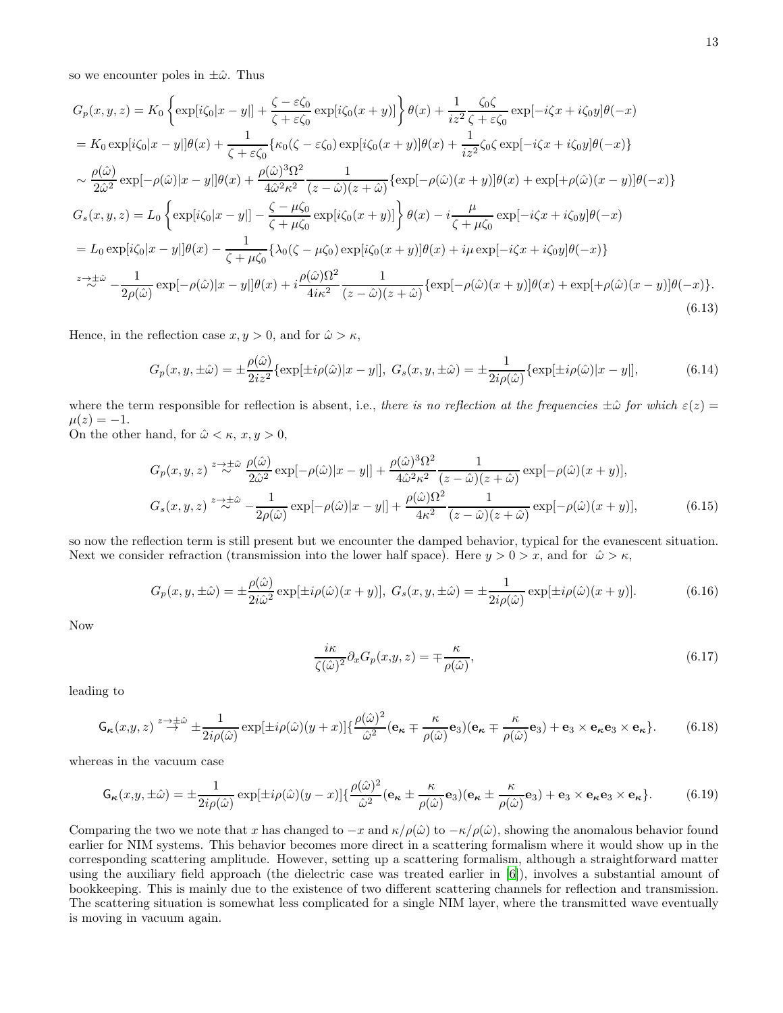so we encounter poles in  $\pm\hat{\omega}$ . Thus

$$
G_p(x, y, z) = K_0 \left\{ \exp[i\zeta_0|x - y|] + \frac{\zeta - \varepsilon \zeta_0}{\zeta + \varepsilon \zeta_0} \exp[i\zeta_0(x + y)] \right\} \theta(x) + \frac{1}{iz^2} \frac{\zeta_0 \zeta}{\zeta + \varepsilon \zeta_0} \exp[-i\zeta x + i\zeta_0 y] \theta(-x)
$$
  
\n
$$
= K_0 \exp[i\zeta_0|x - y|] \theta(x) + \frac{1}{\zeta + \varepsilon \zeta_0} \{ \kappa_0(\zeta - \varepsilon \zeta_0) \exp[i\zeta_0(x + y)] \theta(x) + \frac{1}{iz^2} \zeta_0 \zeta \exp[-i\zeta x + i\zeta_0 y] \theta(-x) \}
$$
  
\n
$$
\sim \frac{\rho(\hat{\omega})}{2\hat{\omega}^2} \exp[-\rho(\hat{\omega})|x - y|] \theta(x) + \frac{\rho(\hat{\omega})^3 \Omega^2}{4\hat{\omega}^2 \kappa^2} \frac{1}{(z - \hat{\omega})(z + \hat{\omega})} \{ \exp[-\rho(\hat{\omega})(x + y)] \theta(x) + \exp[+\rho(\hat{\omega})(x - y)] \theta(-x) \}
$$
  
\n
$$
G_s(x, y, z) = L_0 \left\{ \exp[i\zeta_0|x - y|] - \frac{\zeta - \mu \zeta_0}{\zeta + \mu \zeta_0} \exp[i\zeta_0(x + y)] \right\} \theta(x) - i \frac{\mu}{\zeta + \mu \zeta_0} \exp[-i\zeta x + i\zeta_0 y] \theta(-x)
$$
  
\n
$$
= L_0 \exp[i\zeta_0|x - y|] \theta(x) - \frac{1}{\zeta + \mu \zeta_0} \{ \lambda_0(\zeta - \mu \zeta_0) \exp[i\zeta_0(x + y)] \theta(x) + i\mu \exp[-i\zeta x + i\zeta_0 y] \theta(-x) \}
$$
  
\n
$$
z \to z^{\pm \hat{\omega}} - \frac{1}{2\rho(\hat{\omega})} \exp[-\rho(\hat{\omega})|x - y|] \theta(x) + i \frac{\rho(\hat{\omega}) \Omega^2}{4i\kappa^2} \frac{1}{(z - \hat{\omega})(z + \hat{\omega})} \{ \
$$

Hence, in the reflection case  $x, y > 0$ , and for  $\hat{\omega} > \kappa$ ,

$$
G_p(x, y, \pm \hat{\omega}) = \pm \frac{\rho(\hat{\omega})}{2iz^2} \{ \exp[\pm i\rho(\hat{\omega})|x - y|], \ G_s(x, y, \pm \hat{\omega}) = \pm \frac{1}{2i\rho(\hat{\omega})} \{ \exp[\pm i\rho(\hat{\omega})|x - y|], \tag{6.14}
$$

where the term responsible for reflection is absent, i.e., there is no reflection at the frequencies  $\pm\hat{\omega}$  for which  $\varepsilon(z)$  =  $\mu(z) = -1.$ 

On the other hand, for  $\hat{\omega} < \kappa$ ,  $x, y > 0$ ,

$$
G_p(x, y, z) \stackrel{z \to \pm \hat{\omega}}{\sim} \frac{\rho(\hat{\omega})}{2\hat{\omega}^2} \exp[-\rho(\hat{\omega})|x - y|] + \frac{\rho(\hat{\omega})^3 \Omega^2}{4\hat{\omega}^2 \kappa^2} \frac{1}{(z - \hat{\omega})(z + \hat{\omega})} \exp[-\rho(\hat{\omega})(x + y)],
$$
  

$$
G_s(x, y, z) \stackrel{z \to \pm \hat{\omega}}{\sim} -\frac{1}{2\rho(\hat{\omega})} \exp[-\rho(\hat{\omega})|x - y|] + \frac{\rho(\hat{\omega})\Omega^2}{4\kappa^2} \frac{1}{(z - \hat{\omega})(z + \hat{\omega})} \exp[-\rho(\hat{\omega})(x + y)],
$$
(6.15)

so now the reflection term is still present but we encounter the damped behavior, typical for the evanescent situation. Next we consider refraction (transmission into the lower half space). Here  $y > 0 > x$ , and for  $\hat{\omega} > \kappa$ ,

$$
G_p(x, y, \pm \hat{\omega}) = \pm \frac{\rho(\hat{\omega})}{2i\hat{\omega}^2} \exp[\pm i\rho(\hat{\omega})(x+y)], \ G_s(x, y, \pm \hat{\omega}) = \pm \frac{1}{2i\rho(\hat{\omega})} \exp[\pm i\rho(\hat{\omega})(x+y)].
$$
\n(6.16)

Now

$$
\frac{i\kappa}{\zeta(\hat{\omega})^2} \partial_x G_p(x, y, z) = \mp \frac{\kappa}{\rho(\hat{\omega})},\tag{6.17}
$$

leading to

$$
\mathsf{G}_{\kappa}(x,y,z) \stackrel{z \to \pm \hat{\omega}}{\to} \pm \frac{1}{2i\rho(\hat{\omega})} \exp[\pm i\rho(\hat{\omega})(y+x)] \{\frac{\rho(\hat{\omega})^2}{\hat{\omega}^2} (\mathbf{e}_{\kappa} \mp \frac{\kappa}{\rho(\hat{\omega})} \mathbf{e}_3) (\mathbf{e}_{\kappa} \mp \frac{\kappa}{\rho(\hat{\omega})} \mathbf{e}_3) + \mathbf{e}_3 \times \mathbf{e}_{\kappa} \mathbf{e}_3 \times \mathbf{e}_{\kappa} \}.
$$
 (6.18)

whereas in the vacuum case

$$
\mathsf{G}_{\kappa}(x,y,\pm\hat{\omega}) = \pm \frac{1}{2i\rho(\hat{\omega})} \exp[\pm i\rho(\hat{\omega})(y-x)] \left\{ \frac{\rho(\hat{\omega})^2}{\hat{\omega}^2} (\mathbf{e}_{\kappa} \pm \frac{\kappa}{\rho(\hat{\omega})} \mathbf{e}_3) (\mathbf{e}_{\kappa} \pm \frac{\kappa}{\rho(\hat{\omega})} \mathbf{e}_3) + \mathbf{e}_3 \times \mathbf{e}_{\kappa} \mathbf{e}_3 \times \mathbf{e}_{\kappa} \right\}.
$$
 (6.19)

Comparing the two we note that x has changed to  $-x$  and  $\kappa/\rho(\hat{\omega})$  to  $-\kappa/\rho(\hat{\omega})$ , showing the anomalous behavior found earlier for NIM systems. This behavior becomes more direct in a scattering formalism where it would show up in the corresponding scattering amplitude. However, setting up a scattering formalism, although a straightforward matter using the auxiliary field approach (the dielectric case was treated earlier in [\[6](#page-21-5)]), involves a substantial amount of bookkeeping. This is mainly due to the existence of two different scattering channels for reflection and transmission. The scattering situation is somewhat less complicated for a single NIM layer, where the transmitted wave eventually is moving in vacuum again.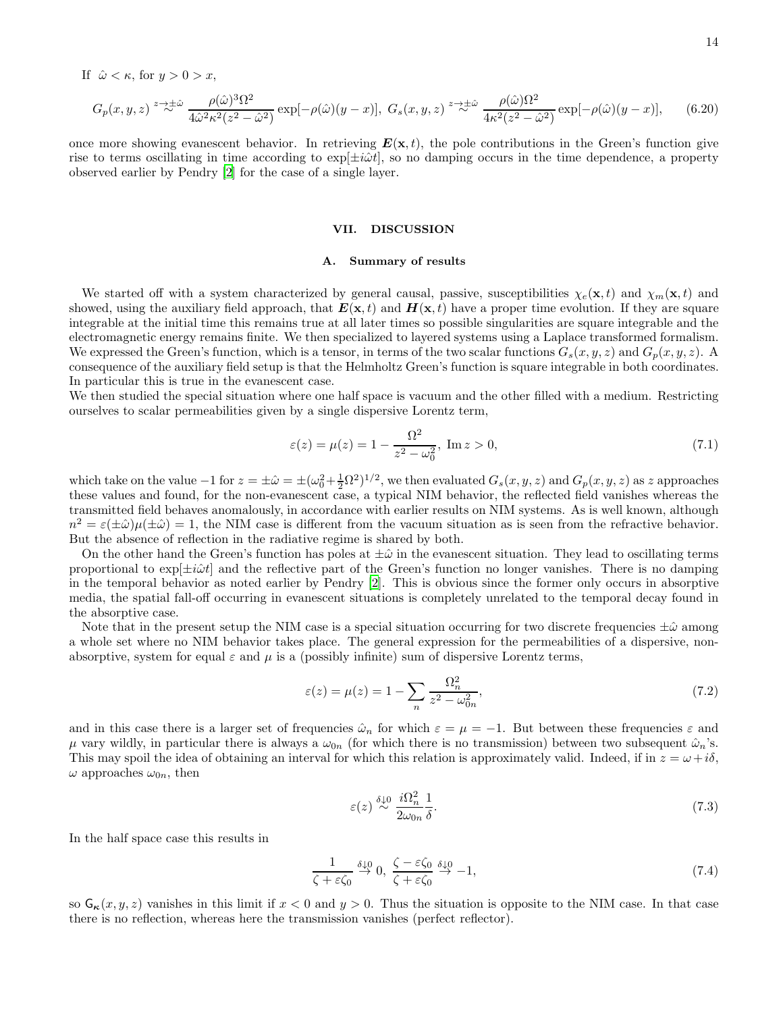If  $\hat{\omega} < \kappa$ , for  $y > 0 > x$ ,

$$
G_p(x,y,z) \stackrel{z \to \pm \hat{\omega}}{\sim} \frac{\rho(\hat{\omega})^3 \Omega^2}{4 \hat{\omega}^2 \kappa^2 (z^2 - \hat{\omega}^2)} \exp[-\rho(\hat{\omega})(y-x)], \ G_s(x,y,z) \stackrel{z \to \pm \hat{\omega}}{\sim} \frac{\rho(\hat{\omega}) \Omega^2}{4 \kappa^2 (z^2 - \hat{\omega}^2)} \exp[-\rho(\hat{\omega})(y-x)], \tag{6.20}
$$

once more showing evanescent behavior. In retrieving  $E(\mathbf{x}, t)$ , the pole contributions in the Green's function give rise to terms oscillating in time according to  $\exp[\pm i\omega t]$ , so no damping occurs in the time dependence, a property observed earlier by Pendry [\[2\]](#page-21-1) for the case of a single layer.

#### VII. DISCUSSION

### A. Summary of results

We started off with a system characterized by general causal, passive, susceptibilities  $\chi_e(\mathbf{x}, t)$  and  $\chi_m(\mathbf{x}, t)$  and showed, using the auxiliary field approach, that  $E(\mathbf{x}, t)$  and  $H(\mathbf{x}, t)$  have a proper time evolution. If they are square integrable at the initial time this remains true at all later times so possible singularities are square integrable and the electromagnetic energy remains finite. We then specialized to layered systems using a Laplace transformed formalism. We expressed the Green's function, which is a tensor, in terms of the two scalar functions  $G_s(x, y, z)$  and  $G_p(x, y, z)$ . A consequence of the auxiliary field setup is that the Helmholtz Green's function is square integrable in both coordinates. In particular this is true in the evanescent case.

We then studied the special situation where one half space is vacuum and the other filled with a medium. Restricting ourselves to scalar permeabilities given by a single dispersive Lorentz term,

$$
\varepsilon(z) = \mu(z) = 1 - \frac{\Omega^2}{z^2 - \omega_0^2}, \text{ Im } z > 0,
$$
\n(7.1)

which take on the value  $-1$  for  $z = \pm \hat{\omega} = \pm (\omega_0^2 + \frac{1}{2}\Omega^2)^{1/2}$ , we then evaluated  $G_s(x, y, z)$  and  $G_p(x, y, z)$  as z approaches these values and found, for the non-evanescent case, a typical NIM behavior, the reflected field vanishes whereas the transmitted field behaves anomalously, in accordance with earlier results on NIM systems. As is well known, although  $n^2 = \varepsilon(\pm\hat{\omega})\mu(\pm\hat{\omega}) = 1$ , the NIM case is different from the vacuum situation as is seen from the refractive behavior. But the absence of reflection in the radiative regime is shared by both.

On the other hand the Green's function has poles at  $\pm\hat{\omega}$  in the evanescent situation. They lead to oscillating terms proportional to  $\exp[\pm i\omega t]$  and the reflective part of the Green's function no longer vanishes. There is no damping in the temporal behavior as noted earlier by Pendry [\[2\]](#page-21-1). This is obvious since the former only occurs in absorptive media, the spatial fall-off occurring in evanescent situations is completely unrelated to the temporal decay found in the absorptive case.

Note that in the present setup the NIM case is a special situation occurring for two discrete frequencies  $\pm \hat{\omega}$  among a whole set where no NIM behavior takes place. The general expression for the permeabilities of a dispersive, nonabsorptive, system for equal  $\varepsilon$  and  $\mu$  is a (possibly infinite) sum of dispersive Lorentz terms,

$$
\varepsilon(z) = \mu(z) = 1 - \sum_{n} \frac{\Omega_n^2}{z^2 - \omega_{0n}^2},\tag{7.2}
$$

and in this case there is a larger set of frequencies  $\hat{\omega}_n$  for which  $\varepsilon = \mu = -1$ . But between these frequencies  $\varepsilon$  and  $\mu$  vary wildly, in particular there is always a  $\omega_{0n}$  (for which there is no transmission) between two subsequent  $\hat{\omega}_n$ 's. This may spoil the idea of obtaining an interval for which this relation is approximately valid. Indeed, if in  $z = \omega + i\delta$ ,  $\omega$  approaches  $\omega_{0n}$ , then

$$
\varepsilon(z) \stackrel{\delta \downarrow 0}{\sim} \frac{i\Omega_n^2}{2\omega_{0n}} \frac{1}{\delta}.\tag{7.3}
$$

In the half space case this results in

$$
\frac{1}{\zeta + \varepsilon \zeta_0} \stackrel{\delta \downarrow 0}{\to} 0, \ \frac{\zeta - \varepsilon \zeta_0}{\zeta + \varepsilon \zeta_0} \stackrel{\delta \downarrow 0}{\to} -1,\tag{7.4}
$$

so  $G_{\kappa}(x, y, z)$  vanishes in this limit if  $x < 0$  and  $y > 0$ . Thus the situation is opposite to the NIM case. In that case there is no reflection, whereas here the transmission vanishes (perfect reflector).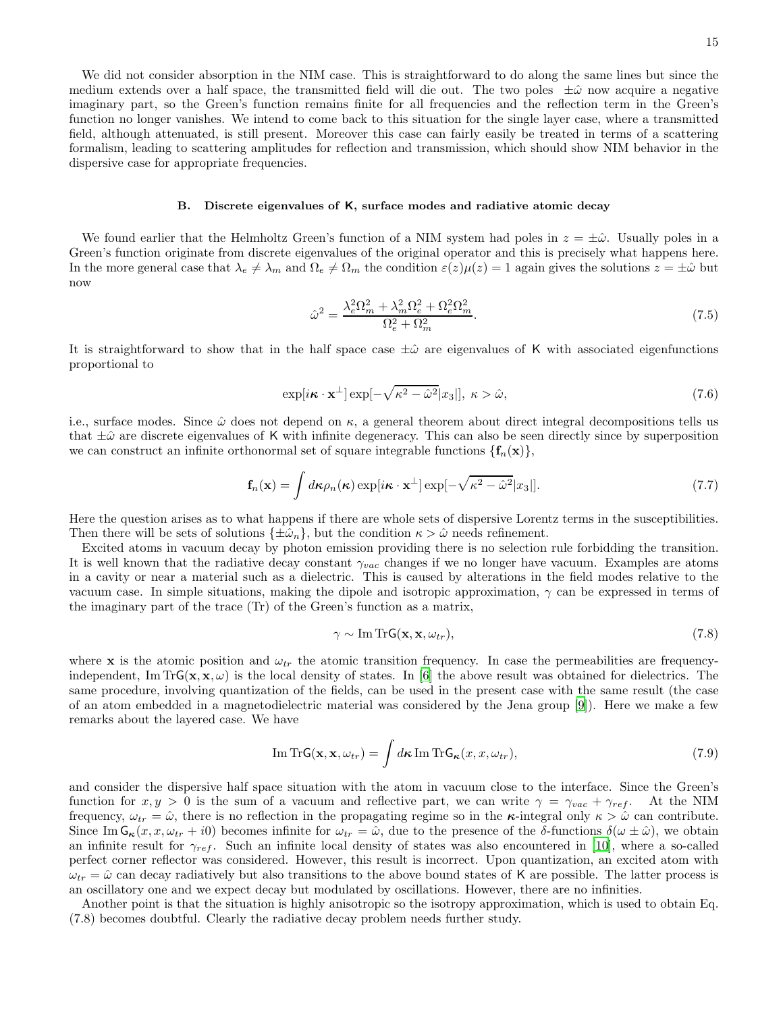We did not consider absorption in the NIM case. This is straightforward to do along the same lines but since the medium extends over a half space, the transmitted field will die out. The two poles  $\pm\hat{\omega}$  now acquire a negative imaginary part, so the Green's function remains finite for all frequencies and the reflection term in the Green's function no longer vanishes. We intend to come back to this situation for the single layer case, where a transmitted field, although attenuated, is still present. Moreover this case can fairly easily be treated in terms of a scattering formalism, leading to scattering amplitudes for reflection and transmission, which should show NIM behavior in the dispersive case for appropriate frequencies.

### B. Discrete eigenvalues of K, surface modes and radiative atomic decay

We found earlier that the Helmholtz Green's function of a NIM system had poles in  $z = \pm \hat{\omega}$ . Usually poles in a Green's function originate from discrete eigenvalues of the original operator and this is precisely what happens here. In the more general case that  $\lambda_e \neq \lambda_m$  and  $\Omega_e \neq \Omega_m$  the condition  $\varepsilon(z)\mu(z) = 1$  again gives the solutions  $z = \pm \hat{\omega}$  but now

$$
\hat{\omega}^2 = \frac{\lambda_e^2 \Omega_m^2 + \lambda_m^2 \Omega_e^2 + \Omega_e^2 \Omega_m^2}{\Omega_e^2 + \Omega_m^2}.\tag{7.5}
$$

It is straightforward to show that in the half space case  $\pm\hat{\omega}$  are eigenvalues of K with associated eigenfunctions proportional to

$$
\exp[i\boldsymbol{\kappa}\cdot\mathbf{x}^{\perp}]\exp[-\sqrt{\kappa^2-\hat{\omega}^2}|x_3|], \ \kappa > \hat{\omega},\tag{7.6}
$$

i.e., surface modes. Since  $\hat{\omega}$  does not depend on  $\kappa$ , a general theorem about direct integral decompositions tells us that  $\pm\hat{\omega}$  are discrete eigenvalues of K with infinite degeneracy. This can also be seen directly since by superposition we can construct an infinite orthonormal set of square integrable functions  $\{f_n(\mathbf{x})\}\$ ,

$$
\mathbf{f}_n(\mathbf{x}) = \int d\boldsymbol{\kappa} \rho_n(\boldsymbol{\kappa}) \exp[i\boldsymbol{\kappa} \cdot \mathbf{x}^\perp] \exp[-\sqrt{\kappa^2 - \hat{\omega}^2} |x_3|]. \tag{7.7}
$$

Here the question arises as to what happens if there are whole sets of dispersive Lorentz terms in the susceptibilities. Then there will be sets of solutions  $\{\pm\hat{\omega}_n\}$ , but the condition  $\kappa > \hat{\omega}$  needs refinement.

Excited atoms in vacuum decay by photon emission providing there is no selection rule forbidding the transition. It is well known that the radiative decay constant  $\gamma_{vac}$  changes if we no longer have vacuum. Examples are atoms in a cavity or near a material such as a dielectric. This is caused by alterations in the field modes relative to the vacuum case. In simple situations, making the dipole and isotropic approximation,  $\gamma$  can be expressed in terms of the imaginary part of the trace (Tr) of the Green's function as a matrix,

$$
\gamma \sim \text{Im Tr} \mathsf{G}(\mathbf{x}, \mathbf{x}, \omega_{tr}),\tag{7.8}
$$

where x is the atomic position and  $\omega_{tr}$  the atomic transition frequency. In case the permeabilities are frequencyindependent, Im TrG( $\mathbf{x}, \mathbf{x}, \omega$ ) is the local density of states. In [\[6\]](#page-21-5) the above result was obtained for dielectrics. The same procedure, involving quantization of the fields, can be used in the present case with the same result (the case of an atom embedded in a magnetodielectric material was considered by the Jena group [\[9](#page-21-8)]). Here we make a few remarks about the layered case. We have

Im Tr
$$
\mathbf{G}(\mathbf{x}, \mathbf{x}, \omega_{tr}) = \int d\mathbf{\kappa} \operatorname{Im} \operatorname{Tr} \mathbf{G}_{\kappa}(x, x, \omega_{tr}),
$$
 (7.9)

and consider the dispersive half space situation with the atom in vacuum close to the interface. Since the Green's function for  $x, y > 0$  is the sum of a vacuum and reflective part, we can write  $\gamma = \gamma_{vac} + \gamma_{ref}$ . At the NIM frequency,  $\omega_{tr} = \hat{\omega}$ , there is no reflection in the propagating regime so in the  $\kappa$ -integral only  $\kappa > \hat{\omega}$  can contribute. Since Im  $G_{\kappa}(x, x, \omega_{tr} + i0)$  becomes infinite for  $\omega_{tr} = \hat{\omega}$ , due to the presence of the  $\delta$ -functions  $\delta(\omega \pm \hat{\omega})$ , we obtain an infinite result for  $\gamma_{ref}$ . Such an infinite local density of states was also encountered in [\[10\]](#page-21-9), where a so-called perfect corner reflector was considered. However, this result is incorrect. Upon quantization, an excited atom with  $\omega_{tr} = \hat{\omega}$  can decay radiatively but also transitions to the above bound states of K are possible. The latter process is an oscillatory one and we expect decay but modulated by oscillations. However, there are no infinities.

Another point is that the situation is highly anisotropic so the isotropy approximation, which is used to obtain Eq. (7.8) becomes doubtful. Clearly the radiative decay problem needs further study.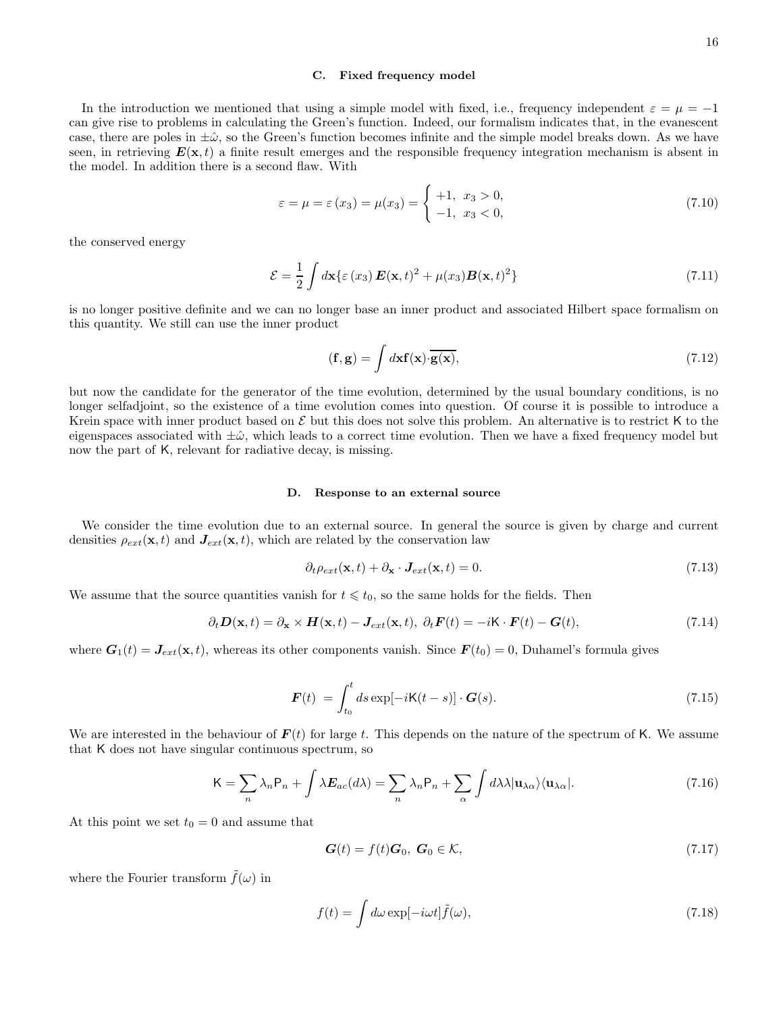#### C. Fixed frequency model

In the introduction we mentioned that using a simple model with fixed, i.e., frequency independent  $\varepsilon = \mu = -1$ can give rise to problems in calculating the Green's function. Indeed, our formalism indicates that, in the evanescent case, there are poles in  $\pm\hat{\omega}$ , so the Green's function becomes infinite and the simple model breaks down. As we have seen, in retrieving  $E(\mathbf{x}, t)$  a finite result emerges and the responsible frequency integration mechanism is absent in the model. In addition there is a second flaw. With

$$
\varepsilon = \mu = \varepsilon(x_3) = \mu(x_3) = \begin{cases} +1, & x_3 > 0, \\ -1, & x_3 < 0, \end{cases}
$$
 (7.10)

the conserved energy

$$
\mathcal{E} = \frac{1}{2} \int d\mathbf{x} \{ \varepsilon(x_3) \, \boldsymbol{E}(\mathbf{x}, t)^2 + \mu(x_3) \boldsymbol{B}(\mathbf{x}, t)^2 \}
$$
\n(7.11)

is no longer positive definite and we can no longer base an inner product and associated Hilbert space formalism on this quantity. We still can use the inner product

$$
(\mathbf{f}, \mathbf{g}) = \int d\mathbf{x} \mathbf{f}(\mathbf{x}) \cdot \overline{\mathbf{g}(\mathbf{x})},\tag{7.12}
$$

but now the candidate for the generator of the time evolution, determined by the usual boundary conditions, is no longer selfadjoint, so the existence of a time evolution comes into question. Of course it is possible to introduce a Krein space with inner product based on  $\mathcal E$  but this does not solve this problem. An alternative is to restrict K to the eigenspaces associated with  $\pm\hat{\omega}$ , which leads to a correct time evolution. Then we have a fixed frequency model but now the part of K, relevant for radiative decay, is missing.

### D. Response to an external source

We consider the time evolution due to an external source. In general the source is given by charge and current densities  $\rho_{ext}(\mathbf{x}, t)$  and  $J_{ext}(\mathbf{x}, t)$ , which are related by the conservation law

$$
\partial_t \rho_{ext}(\mathbf{x}, t) + \partial_{\mathbf{x}} \cdot \mathbf{J}_{ext}(\mathbf{x}, t) = 0. \tag{7.13}
$$

We assume that the source quantities vanish for  $t \leq t_0$ , so the same holds for the fields. Then

$$
\partial_t \mathbf{D}(\mathbf{x}, t) = \partial_{\mathbf{x}} \times \mathbf{H}(\mathbf{x}, t) - \mathbf{J}_{ext}(\mathbf{x}, t), \ \partial_t \mathbf{F}(t) = -i\mathbf{K} \cdot \mathbf{F}(t) - \mathbf{G}(t), \tag{7.14}
$$

where  $G_1(t) = J_{ext}(\mathbf{x}, t)$ , whereas its other components vanish. Since  $F(t_0) = 0$ , Duhamel's formula gives

$$
\boldsymbol{F}(t) = \int_{t_0}^t ds \exp[-i\mathsf{K}(t-s)] \cdot \boldsymbol{G}(s). \tag{7.15}
$$

We are interested in the behaviour of  $F(t)$  for large t. This depends on the nature of the spectrum of K. We assume that K does not have singular continuous spectrum, so

$$
K = \sum_{n} \lambda_n P_n + \int \lambda E_{ac}(d\lambda) = \sum_{n} \lambda_n P_n + \sum_{\alpha} \int d\lambda \lambda |u_{\lambda \alpha}\rangle \langle u_{\lambda \alpha}|. \tag{7.16}
$$

At this point we set  $t_0 = 0$  and assume that

$$
\mathbf{G}(t) = f(t)\mathbf{G}_0, \ \mathbf{G}_0 \in \mathcal{K},\tag{7.17}
$$

where the Fourier transform  $\tilde{f}(\omega)$  in

$$
f(t) = \int d\omega \exp[-i\omega t] \tilde{f}(\omega), \qquad (7.18)
$$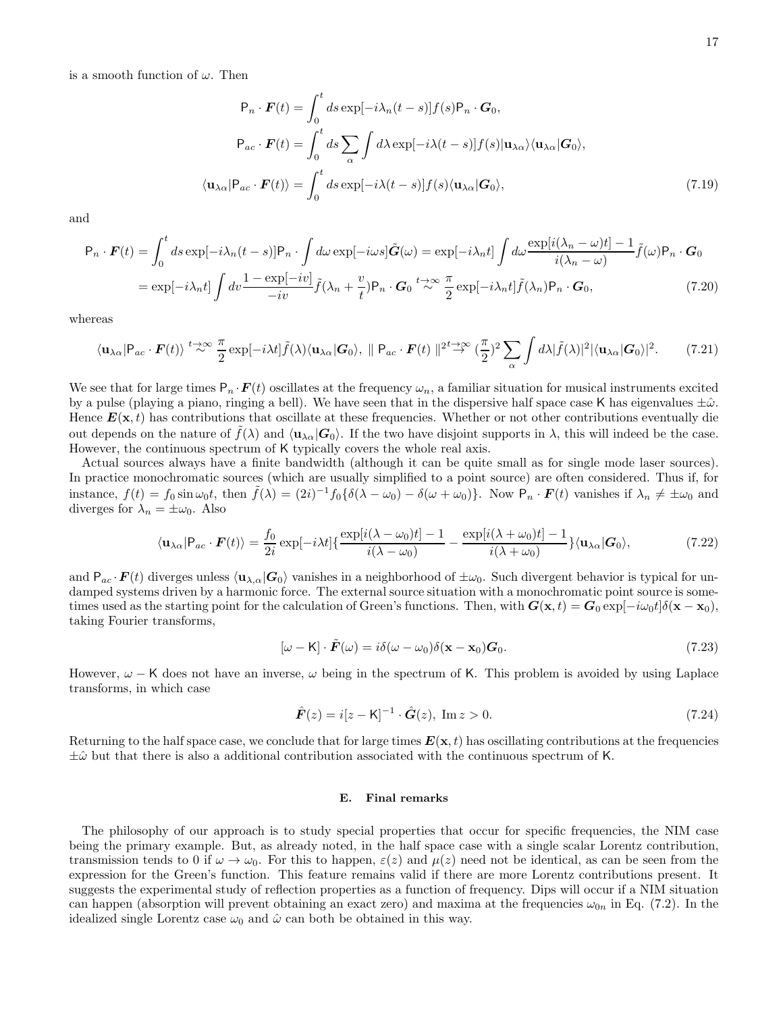is a smooth function of  $\omega$ . Then

$$
P_n \cdot \boldsymbol{F}(t) = \int_0^t ds \exp[-i\lambda_n(t-s)] f(s) P_n \cdot \boldsymbol{G}_0,
$$
  
\n
$$
P_{ac} \cdot \boldsymbol{F}(t) = \int_0^t ds \sum_{\alpha} \int d\lambda \exp[-i\lambda(t-s)] f(s) | \mathbf{u}_{\lambda \alpha} \rangle \langle \mathbf{u}_{\lambda \alpha} | \boldsymbol{G}_0 \rangle,
$$
  
\n
$$
\langle \mathbf{u}_{\lambda \alpha} | P_{ac} \cdot \boldsymbol{F}(t) \rangle = \int_0^t ds \exp[-i\lambda(t-s)] f(s) \langle \mathbf{u}_{\lambda \alpha} | \boldsymbol{G}_0 \rangle,
$$
\n(7.19)

and

$$
P_n \cdot \boldsymbol{F}(t) = \int_0^t ds \exp[-i\lambda_n(t-s)] P_n \cdot \int d\omega \exp[-i\omega s] \tilde{\boldsymbol{G}}(\omega) = \exp[-i\lambda_n t] \int d\omega \frac{\exp[i(\lambda_n - \omega)t] - 1}{i(\lambda_n - \omega)} \tilde{f}(\omega) P_n \cdot \boldsymbol{G}_0
$$

$$
= \exp[-i\lambda_n t] \int dv \frac{1 - \exp[-iv]}{-iv} \tilde{f}(\lambda_n + \frac{v}{t}) P_n \cdot \boldsymbol{G}_0 \stackrel{t \to \infty}{\sim} \frac{\pi}{2} \exp[-i\lambda_n t] \tilde{f}(\lambda_n) P_n \cdot \boldsymbol{G}_0, \tag{7.20}
$$

whereas

$$
\langle \mathbf{u}_{\lambda\alpha}|\mathbf{P}_{ac}\cdot\mathbf{F}(t)\rangle \stackrel{t\to\infty}{\sim} \frac{\pi}{2} \exp[-i\lambda t] \tilde{f}(\lambda) \langle \mathbf{u}_{\lambda\alpha}|\mathbf{G}_0\rangle, \parallel \mathbf{P}_{ac}\cdot\mathbf{F}(t) \parallel^{2t\to\infty} (\frac{\pi}{2})^2 \sum_{\alpha} \int d\lambda |\tilde{f}(\lambda)|^2 |\langle \mathbf{u}_{\lambda\alpha}|\mathbf{G}_0\rangle|^2. \tag{7.21}
$$

We see that for large times  $P_n \cdot F(t)$  oscillates at the frequency  $\omega_n$ , a familiar situation for musical instruments excited by a pulse (playing a piano, ringing a bell). We have seen that in the dispersive half space case K has eigenvalues  $\pm\hat{\omega}$ . Hence  $E(\mathbf{x},t)$  has contributions that oscillate at these frequencies. Whether or not other contributions eventually die out depends on the nature of  $\tilde{f}(\lambda)$  and  $\langle \mathbf{u}_{\lambda\alpha}|\mathbf{G}_0\rangle$ . If the two have disjoint supports in  $\lambda$ , this will indeed be the case. However, the continuous spectrum of K typically covers the whole real axis.

Actual sources always have a finite bandwidth (although it can be quite small as for single mode laser sources). In practice monochromatic sources (which are usually simplified to a point source) are often considered. Thus if, for instance,  $f(t) = f_0 \sin \omega_0 t$ , then  $\tilde{f}(\lambda) = (2i)^{-1} f_0 \{ \delta(\lambda - \omega_0) - \delta(\omega + \omega_0) \}$ . Now  $P_n \cdot \mathbf{F}(t)$  vanishes if  $\lambda_n \neq \pm \omega_0$  and diverges for  $\lambda_n = \pm \omega_0$ . Also

$$
\langle \mathbf{u}_{\lambda\alpha}|\mathbf{P}_{ac}\cdot\mathbf{F}(t)\rangle = \frac{f_0}{2i} \exp[-i\lambda t] \{\frac{\exp[i(\lambda-\omega_0)t]-1}{i(\lambda-\omega_0)} - \frac{\exp[i(\lambda+\omega_0)t]-1}{i(\lambda+\omega_0)}\} \langle \mathbf{u}_{\lambda\alpha}|\mathbf{G}_0\rangle, \tag{7.22}
$$

and  $P_{ac} \cdot \bm{F}(t)$  diverges unless  $\langle \mathbf{u}_{\lambda,\alpha}|\bm{G}_0\rangle$  vanishes in a neighborhood of  $\pm \omega_0$ . Such divergent behavior is typical for undamped systems driven by a harmonic force. The external source situation with a monochromatic point source is sometimes used as the starting point for the calculation of Green's functions. Then, with  $G(\mathbf{x}, t) = G_0 \exp[-i\omega_0 t] \delta(\mathbf{x} - \mathbf{x}_0)$ , taking Fourier transforms,

$$
[\omega - \mathsf{K}] \cdot \tilde{F}(\omega) = i\delta(\omega - \omega_0)\delta(\mathbf{x} - \mathbf{x}_0)\mathbf{G}_0. \tag{7.23}
$$

However,  $\omega$  − K does not have an inverse,  $\omega$  being in the spectrum of K. This problem is avoided by using Laplace transforms, in which case

$$
\hat{F}(z) = i[z - K]^{-1} \cdot \hat{G}(z), \text{ Im } z > 0.
$$
\n(7.24)

Returning to the half space case, we conclude that for large times  $E(\mathbf{x}, t)$  has oscillating contributions at the frequencies  $\pm\hat{\omega}$  but that there is also a additional contribution associated with the continuous spectrum of K.

### E. Final remarks

The philosophy of our approach is to study special properties that occur for specific frequencies, the NIM case being the primary example. But, as already noted, in the half space case with a single scalar Lorentz contribution, transmission tends to 0 if  $\omega \to \omega_0$ . For this to happen,  $\varepsilon(z)$  and  $\mu(z)$  need not be identical, as can be seen from the expression for the Green's function. This feature remains valid if there are more Lorentz contributions present. It suggests the experimental study of reflection properties as a function of frequency. Dips will occur if a NIM situation can happen (absorption will prevent obtaining an exact zero) and maxima at the frequencies  $\omega_{0n}$  in Eq. (7.2). In the idealized single Lorentz case  $\omega_0$  and  $\hat{\omega}$  can both be obtained in this way.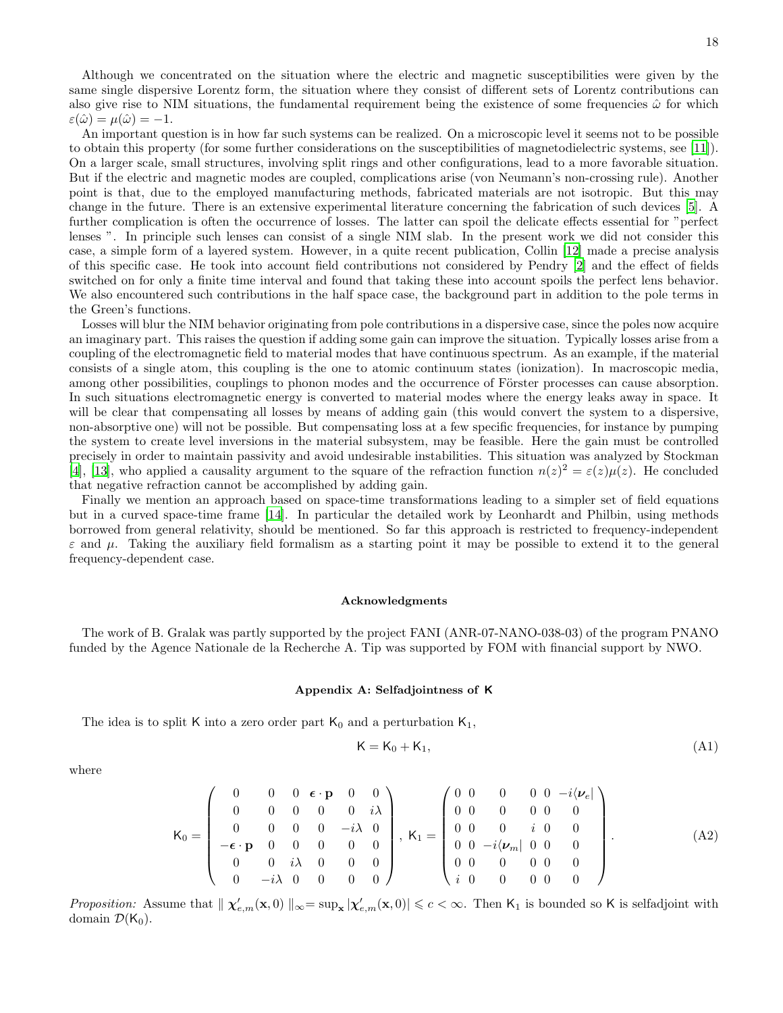Although we concentrated on the situation where the electric and magnetic susceptibilities were given by the same single dispersive Lorentz form, the situation where they consist of different sets of Lorentz contributions can also give rise to NIM situations, the fundamental requirement being the existence of some frequencies  $\hat{\omega}$  for which  $\varepsilon(\hat{\omega}) = \mu(\hat{\omega}) = -1.$ 

An important question is in how far such systems can be realized. On a microscopic level it seems not to be possible to obtain this property (for some further considerations on the susceptibilities of magnetodielectric systems, see [\[11\]](#page-21-10)). On a larger scale, small structures, involving split rings and other configurations, lead to a more favorable situation. But if the electric and magnetic modes are coupled, complications arise (von Neumann's non-crossing rule). Another point is that, due to the employed manufacturing methods, fabricated materials are not isotropic. But this may change in the future. There is an extensive experimental literature concerning the fabrication of such devices [\[5\]](#page-21-4). A further complication is often the occurrence of losses. The latter can spoil the delicate effects essential for "perfect lenses ". In principle such lenses can consist of a single NIM slab. In the present work we did not consider this case, a simple form of a layered system. However, in a quite recent publication, Collin [\[12\]](#page-21-11) made a precise analysis of this specific case. He took into account field contributions not considered by Pendry [\[2\]](#page-21-1) and the effect of fields switched on for only a finite time interval and found that taking these into account spoils the perfect lens behavior. We also encountered such contributions in the half space case, the background part in addition to the pole terms in the Green's functions.

Losses will blur the NIM behavior originating from pole contributions in a dispersive case, since the poles now acquire an imaginary part. This raises the question if adding some gain can improve the situation. Typically losses arise from a coupling of the electromagnetic field to material modes that have continuous spectrum. As an example, if the material consists of a single atom, this coupling is the one to atomic continuum states (ionization). In macroscopic media, among other possibilities, couplings to phonon modes and the occurrence of Förster processes can cause absorption. In such situations electromagnetic energy is converted to material modes where the energy leaks away in space. It will be clear that compensating all losses by means of adding gain (this would convert the system to a dispersive, non-absorptive one) will not be possible. But compensating loss at a few specific frequencies, for instance by pumping the system to create level inversions in the material subsystem, may be feasible. Here the gain must be controlled precisely in order to maintain passivity and avoid undesirable instabilities. This situation was analyzed by Stockman [\[4\]](#page-21-3), [\[13\]](#page-21-12), who applied a causality argument to the square of the refraction function  $n(z)^2 = \varepsilon(z)\mu(z)$ . He concluded that negative refraction cannot be accomplished by adding gain.

Finally we mention an approach based on space-time transformations leading to a simpler set of field equations but in a curved space-time frame [\[14\]](#page-21-13). In particular the detailed work by Leonhardt and Philbin, using methods borrowed from general relativity, should be mentioned. So far this approach is restricted to frequency-independent  $\varepsilon$  and  $\mu$ . Taking the auxiliary field formalism as a starting point it may be possible to extend it to the general frequency-dependent case.

#### Acknowledgments

The work of B. Gralak was partly supported by the project FANI (ANR-07-NANO-038-03) of the program PNANO funded by the Agence Nationale de la Recherche A. Tip was supported by FOM with financial support by NWO.

# Appendix A: Selfadjointness of K

The idea is to split K into a zero order part  $K_0$  and a perturbation  $K_1$ ,

$$
K = K_0 + K_1,\tag{A1}
$$

where

$$
\mathbf{K}_0 = \begin{pmatrix}\n0 & 0 & 0 & \boldsymbol{\epsilon} \cdot \mathbf{p} & 0 & 0 \\
0 & 0 & 0 & 0 & 0 & i\lambda \\
0 & 0 & 0 & 0 & -i\lambda & 0 \\
-\boldsymbol{\epsilon} \cdot \mathbf{p} & 0 & 0 & 0 & 0 \\
0 & 0 & i\lambda & 0 & 0 & 0 \\
0 & -i\lambda & 0 & 0 & 0 & 0\n\end{pmatrix}, \ \mathbf{K}_1 = \begin{pmatrix}\n0 & 0 & 0 & 0 & 0 & -i\langle \boldsymbol{\nu}_e | \\
0 & 0 & 0 & 0 & 0 & 0 \\
0 & 0 & 0 & i & 0 & 0 \\
0 & 0 & -i\langle \boldsymbol{\nu}_m | & 0 & 0 & 0 \\
0 & 0 & 0 & 0 & 0 & 0\n\end{pmatrix}.
$$
\n(A2)

Proposition: Assume that  $\|\chi'_{e,m}(\mathbf{x},0)\|_{\infty} = \sup_{\mathbf{x}} |\chi'_{e,m}(\mathbf{x},0)| \leq c < \infty$ . Then  $K_1$  is bounded so K is selfadjoint with domain  $\mathcal{D}(\mathsf{K}_0)$ .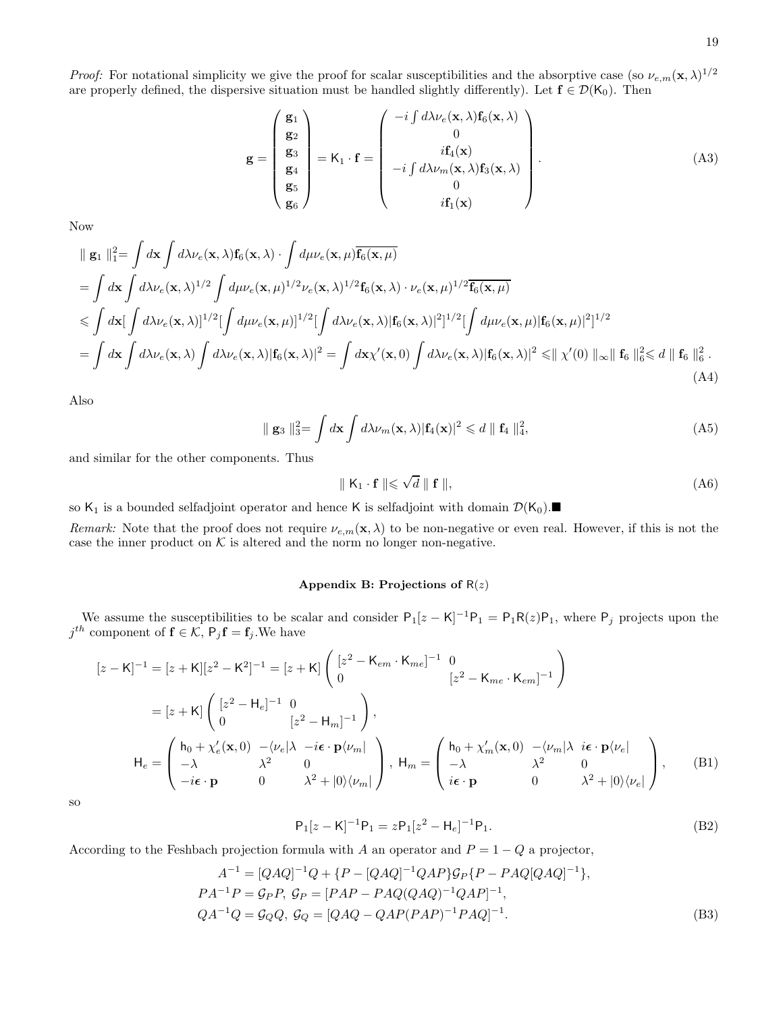*Proof:* For notational simplicity we give the proof for scalar susceptibilities and the absorptive case (so  $\nu_{e,m}(\mathbf{x},\lambda)^{1/2}$ are properly defined, the dispersive situation must be handled slightly differently). Let  $\mathbf{f} \in \mathcal{D}(\mathsf{K}_0)$ . Then

$$
\mathbf{g} = \begin{pmatrix} \mathbf{g}_1 \\ \mathbf{g}_2 \\ \mathbf{g}_3 \\ \mathbf{g}_4 \\ \mathbf{g}_5 \\ \mathbf{g}_6 \end{pmatrix} = \mathbf{K}_1 \cdot \mathbf{f} = \begin{pmatrix} -i \int d\lambda \nu_e(\mathbf{x}, \lambda) \mathbf{f}_6(\mathbf{x}, \lambda) \\ 0 \\ i \mathbf{f}_4(\mathbf{x}) \\ -i \int d\lambda \nu_m(\mathbf{x}, \lambda) \mathbf{f}_3(\mathbf{x}, \lambda) \\ 0 \\ i \mathbf{f}_1(\mathbf{x}) \end{pmatrix} .
$$
 (A3)

Now

$$
\|\mathbf{g}_{1}\|_{1}^{2} = \int d\mathbf{x} \int d\lambda \nu_{e}(\mathbf{x}, \lambda) \mathbf{f}_{6}(\mathbf{x}, \lambda) \cdot \int d\mu \nu_{e}(\mathbf{x}, \mu) \overline{\mathbf{f}_{6}(\mathbf{x}, \mu)}
$$
\n
$$
= \int d\mathbf{x} \int d\lambda \nu_{e}(\mathbf{x}, \lambda)^{1/2} \int d\mu \nu_{e}(\mathbf{x}, \mu)^{1/2} \nu_{e}(\mathbf{x}, \lambda)^{1/2} \mathbf{f}_{6}(\mathbf{x}, \lambda) \cdot \nu_{e}(\mathbf{x}, \mu)^{1/2} \overline{\mathbf{f}_{6}(\mathbf{x}, \mu)}
$$
\n
$$
\leq \int d\mathbf{x} [\int d\lambda \nu_{e}(\mathbf{x}, \lambda)]^{1/2} [\int d\mu \nu_{e}(\mathbf{x}, \mu)]^{1/2} [\int d\lambda \nu_{e}(\mathbf{x}, \lambda) | \mathbf{f}_{6}(\mathbf{x}, \lambda) |^{2}]^{1/2} [\int d\mu \nu_{e}(\mathbf{x}, \mu) | \mathbf{f}_{6}(\mathbf{x}, \mu) |^{2}]^{1/2}
$$
\n
$$
= \int d\mathbf{x} \int d\lambda \nu_{e}(\mathbf{x}, \lambda) \int d\lambda \nu_{e}(\mathbf{x}, \lambda) | \mathbf{f}_{6}(\mathbf{x}, \lambda) |^{2} = \int d\mathbf{x} \chi'(\mathbf{x}, 0) \int d\lambda \nu_{e}(\mathbf{x}, \lambda) | \mathbf{f}_{6}(\mathbf{x}, \lambda) |^{2} \leq || \chi'(0) ||_{\infty} || \mathbf{f}_{6} ||_{6}^{2} < d || \mathbf{f}_{6} ||_{6}^{2} .
$$
\n(A4)

Also

$$
\parallel \mathbf{g}_3 \parallel_3^2 = \int d\mathbf{x} \int d\lambda \nu_m(\mathbf{x}, \lambda) |\mathbf{f}_4(\mathbf{x})|^2 \leq d \parallel \mathbf{f}_4 \parallel_4^2,
$$
 (A5)

and similar for the other components. Thus

$$
\parallel K_1 \cdot \mathbf{f} \parallel \leq \sqrt{d} \parallel \mathbf{f} \parallel, \tag{A6}
$$

so  $K_1$  is a bounded selfadjoint operator and hence K is selfadjoint with domain  $\mathcal{D}(K_0)$ .

Remark: Note that the proof does not require  $\nu_{e,m}(\mathbf{x},\lambda)$  to be non-negative or even real. However, if this is not the case the inner product on  $K$  is altered and the norm no longer non-negative.

# Appendix B: Projections of  $R(z)$

We assume the susceptibilities to be scalar and consider  $P_1[z - K]^{-1}P_1 = P_1R(z)P_1$ , where  $P_j$  projects upon the  $j^{th}$  component of  $f \in \mathcal{K}$ ,  $P_j f = f_j$ . We have

$$
[z - K]^{-1} = [z + K][z^{2} - K^{2}]^{-1} = [z + K] \begin{pmatrix} [z^{2} - K_{em} \cdot K_{me}]^{-1} & 0\\ 0 & [z^{2} - K_{me} \cdot K_{em}]^{-1} \end{pmatrix}
$$
  
\n
$$
= [z + K] \begin{pmatrix} [z^{2} - H_{e}]^{-1} & 0\\ 0 & [z^{2} - H_{m}]^{-1} \end{pmatrix},
$$
  
\n
$$
H_{e} = \begin{pmatrix} h_{0} + \chi_{e}'(\mathbf{x}, 0) & -\langle \nu_{e} | \lambda - i\epsilon \cdot \mathbf{p} \langle \nu_{m} | \\ -\lambda & \lambda^{2} & 0\\ -i\epsilon \cdot \mathbf{p} & 0 & \lambda^{2} + |0\rangle \langle \nu_{m} | \end{pmatrix}, H_{m} = \begin{pmatrix} h_{0} + \chi_{m}'(\mathbf{x}, 0) & -\langle \nu_{m} | \lambda i\epsilon \cdot \mathbf{p} \langle \nu_{e} | \\ -\lambda & \lambda^{2} & 0\\ i\epsilon \cdot \mathbf{p} & 0 & \lambda^{2} + |0\rangle \langle \nu_{e} | \end{pmatrix},
$$
(B1)

so

$$
P_1[z - K]^{-1}P_1 = zP_1[z^2 - H_e]^{-1}P_1.
$$
\n(B2)

According to the Feshbach projection formula with A an operator and  $P = 1 - Q$  a projector,

$$
A^{-1} = [QAQ]^{-1}Q + \{P - [QAQ]^{-1}QAP\}G_P\{P - PAQ[QAQ]^{-1}\},
$$
  
\n
$$
PA^{-1}P = G_PP, G_P = [PAP - PAQ(QAQ)^{-1}QAP]^{-1},
$$
  
\n
$$
QA^{-1}Q = G_QQ, G_Q = [QAQ - QAP(PAP)^{-1}PAQ]^{-1}.
$$
\n(B3)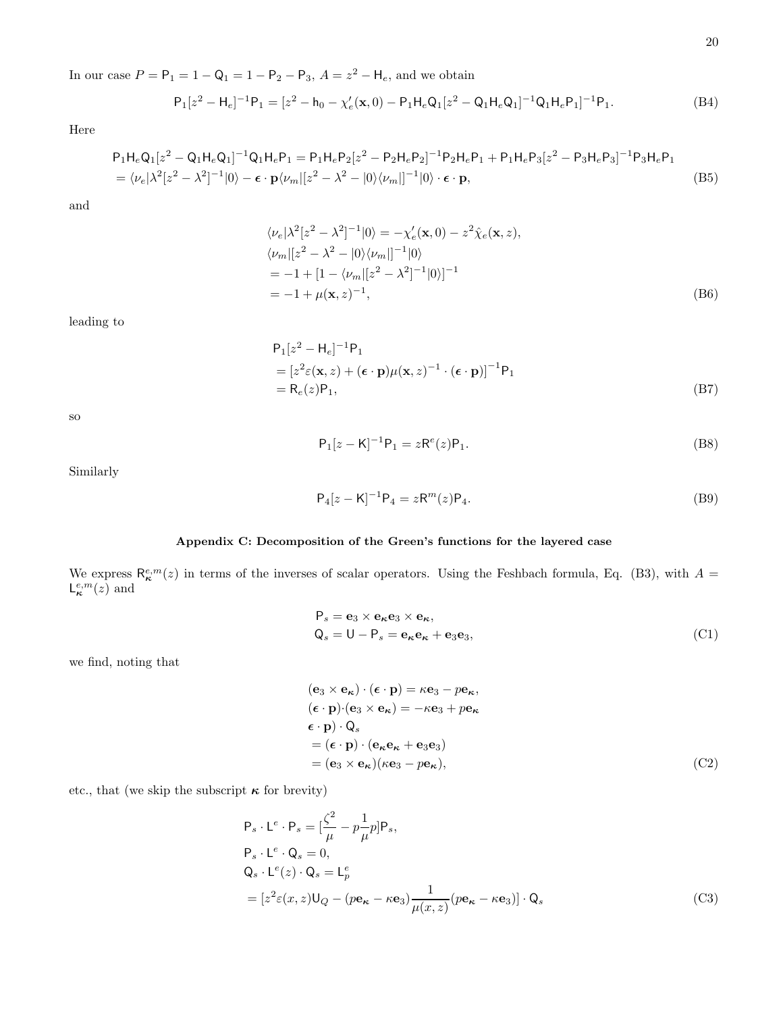In our case  $P = P_1 = 1 - Q_1 = 1 - P_2 - P_3$ ,  $A = z^2 - H_e$ , and we obtain

$$
P_1[z^2 - H_e]^{-1}P_1 = [z^2 - h_0 - \chi'_e(\mathbf{x}, 0) - P_1H_eQ_1[z^2 - Q_1H_eQ_1]^{-1}Q_1H_eP_1]^{-1}P_1.
$$
\n(B4)

Here

$$
P_1H_eQ_1[z^2 - Q_1H_eQ_1]^{-1}Q_1H_eP_1 = P_1H_eP_2[z^2 - P_2H_eP_2]^{-1}P_2H_eP_1 + P_1H_eP_3[z^2 - P_3H_eP_3]^{-1}P_3H_eP_1
$$
  
=  $\langle \nu_e|\lambda^2[z^2 - \lambda^2]^{-1}|0\rangle - \epsilon \cdot \mathbf{p}\langle \nu_m|[z^2 - \lambda^2 - |0\rangle\langle \nu_m|]^{-1}|0\rangle \cdot \epsilon \cdot \mathbf{p},$  (B5)

and

$$
\langle \nu_e | \lambda^2 [z^2 - \lambda^2]^{-1} | 0 \rangle = -\chi'_e(\mathbf{x}, 0) - z^2 \hat{\chi}_e(\mathbf{x}, z),
$$
  
\n
$$
\langle \nu_m | [z^2 - \lambda^2 - | 0 \rangle \langle \nu_m | ]^{-1} | 0 \rangle
$$
  
\n
$$
= -1 + [1 - \langle \nu_m | [z^2 - \lambda^2]^{-1} | 0 \rangle ]^{-1}
$$
  
\n
$$
= -1 + \mu(\mathbf{x}, z)^{-1},
$$
\n(B6)

leading to

$$
P_1[z^2 - H_e]^{-1}P_1
$$
  
=  $[z^2 \varepsilon(\mathbf{x}, z) + (\boldsymbol{\epsilon} \cdot \mathbf{p})\mu(\mathbf{x}, z)^{-1} \cdot (\boldsymbol{\epsilon} \cdot \mathbf{p})]^{-1}P_1$   
=  $R_e(z)P_1$ , (B7)

so

$$
P_1[z - K]^{-1}P_1 = zR^e(z)P_1.
$$
\n(B8)

Similarly

$$
P_4[z - K]^{-1}P_4 = zR^m(z)P_4.
$$
\n(B9)

# Appendix C: Decomposition of the Green's functions for the layered case

We express  $\mathsf{R}_{\kappa}^{e,m}(z)$  in terms of the inverses of scalar operators. Using the Feshbach formula, Eq. (B3), with  $A =$  $\mathsf{L}_{\kappa}^{e,m}(z)$  and

$$
P_s = \mathbf{e}_3 \times \mathbf{e}_\kappa \mathbf{e}_3 \times \mathbf{e}_\kappa, Q_s = U - P_s = \mathbf{e}_\kappa \mathbf{e}_\kappa + \mathbf{e}_3 \mathbf{e}_3,
$$
 (C1)

we find, noting that

$$
(\mathbf{e}_3 \times \mathbf{e}_\kappa) \cdot (\boldsymbol{\epsilon} \cdot \mathbf{p}) = \kappa \mathbf{e}_3 - p \mathbf{e}_\kappa,
$$
  
\n
$$
(\boldsymbol{\epsilon} \cdot \mathbf{p}) \cdot (\mathbf{e}_3 \times \mathbf{e}_\kappa) = -\kappa \mathbf{e}_3 + p \mathbf{e}_\kappa
$$
  
\n
$$
\boldsymbol{\epsilon} \cdot \mathbf{p}) \cdot \mathbf{Q}_s
$$
  
\n
$$
= (\boldsymbol{\epsilon} \cdot \mathbf{p}) \cdot (\mathbf{e}_\kappa \mathbf{e}_\kappa + \mathbf{e}_3 \mathbf{e}_3)
$$
  
\n
$$
= (\mathbf{e}_3 \times \mathbf{e}_\kappa)(\kappa \mathbf{e}_3 - p \mathbf{e}_\kappa),
$$
 (C2)

etc., that (we skip the subscript  $\kappa$  for brevity)

$$
P_s \cdot L^e \cdot P_s = \left[\frac{\zeta^2}{\mu} - p\frac{1}{\mu}p\right]P_s,
$$
  
\n
$$
P_s \cdot L^e \cdot Q_s = 0,
$$
  
\n
$$
Q_s \cdot L^e(z) \cdot Q_s = L^e_p
$$
  
\n
$$
= \left[z^2 \varepsilon(x, z)U_Q - (p\mathbf{e}_{\kappa} - \kappa \mathbf{e}_3)\frac{1}{\mu(x, z)}(p\mathbf{e}_{\kappa} - \kappa \mathbf{e}_3)\right] \cdot Q_s
$$
 (C3)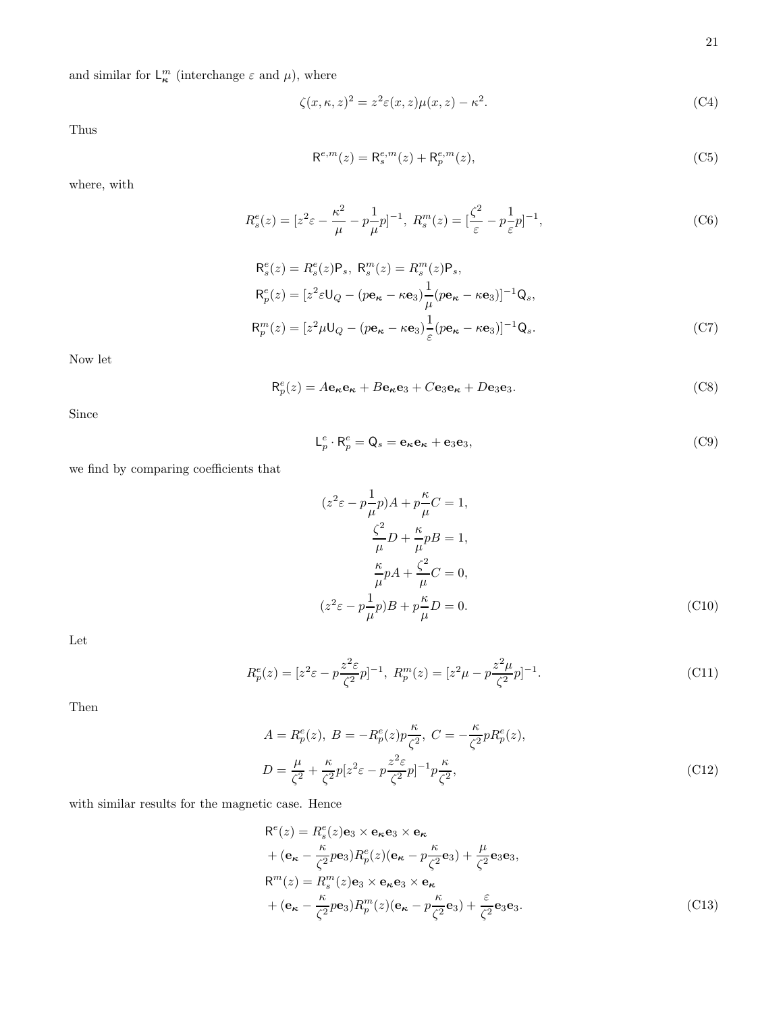and similar for  $\mathsf{L}_{\kappa}^{m}$  (interchange  $\varepsilon$  and  $\mu$ ), where

$$
\zeta(x,\kappa,z)^2 = z^2 \varepsilon(x,z)\mu(x,z) - \kappa^2. \tag{C4}
$$

Thus

$$
\mathsf{R}^{e,m}(z) = \mathsf{R}_s^{e,m}(z) + \mathsf{R}_p^{e,m}(z),\tag{C5}
$$

where, with

$$
R_s^e(z) = [z^2 \varepsilon - \frac{\kappa^2}{\mu} - p\frac{1}{\mu}p]^{-1}, \ R_s^m(z) = [\frac{\zeta^2}{\varepsilon} - p\frac{1}{\varepsilon}p]^{-1}, \tag{C6}
$$

$$
R_s^e(z) = R_s^e(z)P_s, R_s^m(z) = R_s^m(z)P_s,
$$
  
\n
$$
R_p^e(z) = [z^2 \varepsilon U_Q - (p\mathbf{e}_{\kappa} - \kappa \mathbf{e}_3) \frac{1}{\mu} (p\mathbf{e}_{\kappa} - \kappa \mathbf{e}_3)]^{-1} Q_s,
$$
  
\n
$$
R_p^m(z) = [z^2 \mu U_Q - (p\mathbf{e}_{\kappa} - \kappa \mathbf{e}_3) \frac{1}{\varepsilon} (p\mathbf{e}_{\kappa} - \kappa \mathbf{e}_3)]^{-1} Q_s.
$$
\n(C7)

Now let

$$
\mathsf{R}_{p}^{e}(z) = A\mathbf{e}_{\kappa}\mathbf{e}_{\kappa} + B\mathbf{e}_{\kappa}\mathbf{e}_{3} + C\mathbf{e}_{3}\mathbf{e}_{\kappa} + D\mathbf{e}_{3}\mathbf{e}_{3}.
$$
 (C8)

Since

$$
\mathsf{L}_p^e \cdot \mathsf{R}_p^e = \mathsf{Q}_s = \mathbf{e}_{\kappa} \mathbf{e}_{\kappa} + \mathbf{e}_3 \mathbf{e}_3,\tag{C9}
$$

we find by comparing coefficients that

$$
(z^{2}\varepsilon - p\frac{1}{\mu}p)A + p\frac{\kappa}{\mu}C = 1,
$$
  

$$
\frac{\zeta^{2}}{\mu}D + \frac{\kappa}{\mu}pB = 1,
$$
  

$$
\frac{\kappa}{\mu}pA + \frac{\zeta^{2}}{\mu}C = 0,
$$
  

$$
(z^{2}\varepsilon - p\frac{1}{\mu}p)B + p\frac{\kappa}{\mu}D = 0.
$$
 (C10)

Let

$$
R_p^e(z) = [z^2 \varepsilon - p\frac{z^2 \varepsilon}{\zeta^2} p]^{-1}, \ R_p^m(z) = [z^2 \mu - p\frac{z^2 \mu}{\zeta^2} p]^{-1}.
$$
 (C11)

Then

$$
A = R_p^e(z), B = -R_p^e(z)p\frac{\kappa}{\zeta^2}, C = -\frac{\kappa}{\zeta^2}pR_p^e(z),
$$
  

$$
D = \frac{\mu}{\zeta^2} + \frac{\kappa}{\zeta^2}p[z^2\varepsilon - p\frac{z^2\varepsilon}{\zeta^2}p]^{-1}p\frac{\kappa}{\zeta^2},
$$
(C12)

with similar results for the magnetic case. Hence

$$
R^{e}(z) = R_{s}^{e}(z)e_{3} \times e_{\kappa}e_{3} \times e_{\kappa}
$$
  
+  $(e_{\kappa} - \frac{\kappa}{\zeta^{2}} p e_{3})R_{p}^{e}(z)(e_{\kappa} - p\frac{\kappa}{\zeta^{2}} e_{3}) + \frac{\mu}{\zeta^{2}} e_{3} e_{3},$   

$$
R^{m}(z) = R_{s}^{m}(z)e_{3} \times e_{\kappa} e_{3} \times e_{\kappa}
$$
  
+  $(e_{\kappa} - \frac{\kappa}{\zeta^{2}} p e_{3})R_{p}^{m}(z)(e_{\kappa} - p\frac{\kappa}{\zeta^{2}} e_{3}) + \frac{\varepsilon}{\zeta^{2}} e_{3} e_{3}.$  (C13)